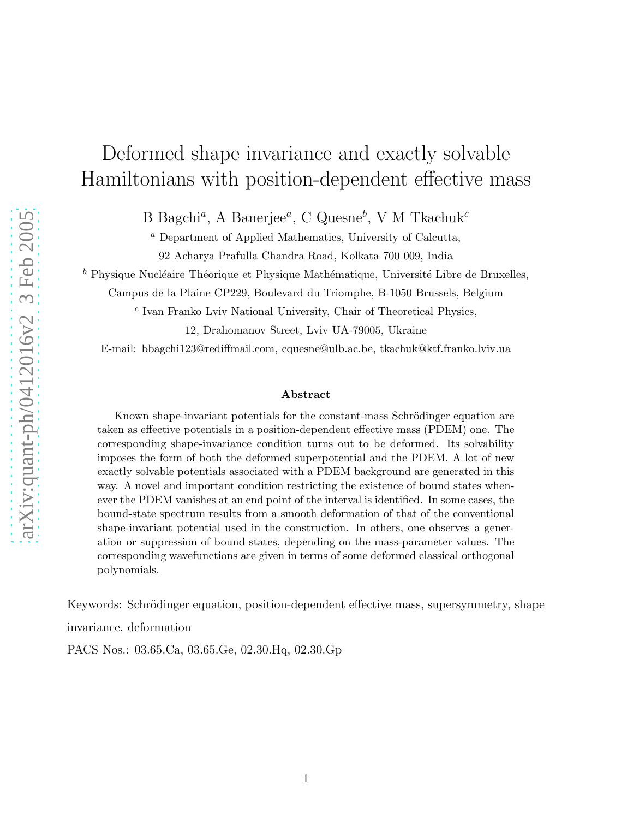# Deformed shape invariance and exactly solvable Hamiltonians with position-dependent effective mass

B Bagchi<sup>a</sup>, A Banerjee<sup>a</sup>, C Quesne<sup>b</sup>, V M Tkachuk<sup>c</sup>

<sup>a</sup> Department of Applied Mathematics, University of Calcutta, 92 Acharya Prafulla Chandra Road, Kolkata 700 009, India

 $<sup>b</sup>$  Physique Nucléaire Théorique et Physique Mathématique, Université Libre de Bruxelles,</sup>

Campus de la Plaine CP229, Boulevard du Triomphe, B-1050 Brussels, Belgium

 $c$  Ivan Franko Lviv National University, Chair of Theoretical Physics,

12, Drahomanov Street, Lviv UA-79005, Ukraine

E-mail: bbagchi123@rediffmail.com, cquesne@ulb.ac.be, tkachuk@ktf.franko.lviv.ua

#### Abstract

Known shape-invariant potentials for the constant-mass Schrödinger equation are taken as effective potentials in a position-dependent effective mass (PDEM) one. The corresponding shape-invariance condition turns out to be deformed. Its solvability imposes the form of both the deformed superpotential and the PDEM. A lot of new exactly solvable potentials associated with a PDEM background are generated in this way. A novel and important condition restricting the existence of bound states whenever the PDEM vanishes at an end point of the interval is identified. In some cases, the bound-state spectrum results from a smooth deformation of that of the conventional shape-invariant potential used in the construction. In others, one observes a generation or suppression of bound states, depending on the mass-parameter values. The corresponding wavefunctions are given in terms of some deformed classical orthogonal polynomials.

Keywords: Schrödinger equation, position-dependent effective mass, supersymmetry, shape invariance, deformation

PACS Nos.: 03.65.Ca, 03.65.Ge, 02.30.Hq, 02.30.Gp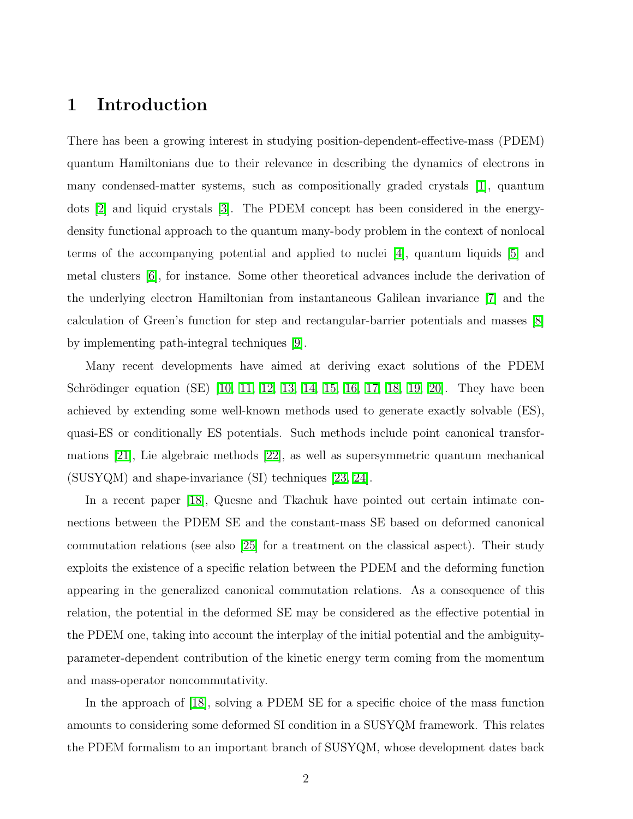### 1 Introduction

There has been a growing interest in studying position-dependent-effective-mass (PDEM) quantum Hamiltonians due to their relevance in describing the dynamics of electrons in many condensed-matter systems, such as compositionally graded crystals [\[1\]](#page-23-0), quantum dots [\[2\]](#page-23-1) and liquid crystals [\[3\]](#page-23-2). The PDEM concept has been considered in the energydensity functional approach to the quantum many-body problem in the context of nonlocal terms of the accompanying potential and applied to nuclei [\[4\]](#page-23-3), quantum liquids [\[5\]](#page-23-4) and metal clusters [\[6\]](#page-23-5), for instance. Some other theoretical advances include the derivation of the underlying electron Hamiltonian from instantaneous Galilean invariance [\[7\]](#page-23-6) and the calculation of Green's function for step and rectangular-barrier potentials and masses [\[8\]](#page-23-7) by implementing path-integral techniques [\[9\]](#page-23-8).

Many recent developments have aimed at deriving exact solutions of the PDEM Schrödinger equation (SE) [\[10,](#page-23-9) [11,](#page-23-10) [12,](#page-23-11) [13,](#page-23-12) [14,](#page-23-13) [15,](#page-23-14) [16,](#page-24-0) [17,](#page-24-1) [18,](#page-24-2) [19,](#page-24-3) [20\]](#page-24-4). They have been achieved by extending some well-known methods used to generate exactly solvable (ES), quasi-ES or conditionally ES potentials. Such methods include point canonical transformations [\[21\]](#page-24-5), Lie algebraic methods [\[22\]](#page-24-6), as well as supersymmetric quantum mechanical (SUSYQM) and shape-invariance (SI) techniques [\[23,](#page-24-7) [24\]](#page-24-8).

In a recent paper [\[18\]](#page-24-2), Quesne and Tkachuk have pointed out certain intimate connections between the PDEM SE and the constant-mass SE based on deformed canonical commutation relations (see also [\[25\]](#page-24-9) for a treatment on the classical aspect). Their study exploits the existence of a specific relation between the PDEM and the deforming function appearing in the generalized canonical commutation relations. As a consequence of this relation, the potential in the deformed SE may be considered as the effective potential in the PDEM one, taking into account the interplay of the initial potential and the ambiguityparameter-dependent contribution of the kinetic energy term coming from the momentum and mass-operator noncommutativity.

In the approach of [\[18\]](#page-24-2), solving a PDEM SE for a specific choice of the mass function amounts to considering some deformed SI condition in a SUSYQM framework. This relates the PDEM formalism to an important branch of SUSYQM, whose development dates back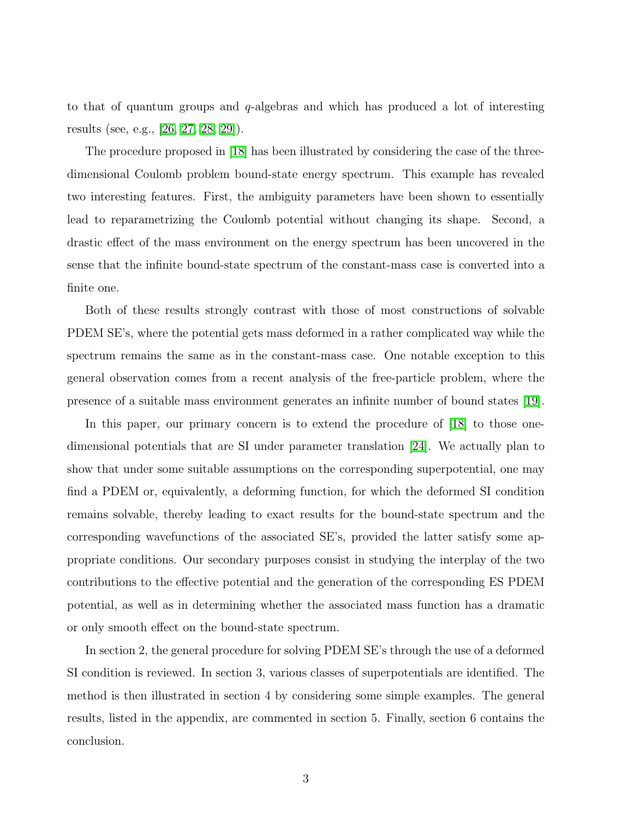to that of quantum groups and  $q$ -algebras and which has produced a lot of interesting results (see, e.g., [\[26,](#page-24-10) [27,](#page-24-11) [28,](#page-25-0) [29\]](#page-25-1)).

The procedure proposed in [\[18\]](#page-24-2) has been illustrated by considering the case of the threedimensional Coulomb problem bound-state energy spectrum. This example has revealed two interesting features. First, the ambiguity parameters have been shown to essentially lead to reparametrizing the Coulomb potential without changing its shape. Second, a drastic effect of the mass environment on the energy spectrum has been uncovered in the sense that the infinite bound-state spectrum of the constant-mass case is converted into a finite one.

Both of these results strongly contrast with those of most constructions of solvable PDEM SE's, where the potential gets mass deformed in a rather complicated way while the spectrum remains the same as in the constant-mass case. One notable exception to this general observation comes from a recent analysis of the free-particle problem, where the presence of a suitable mass environment generates an infinite number of bound states [\[19\]](#page-24-3).

In this paper, our primary concern is to extend the procedure of [\[18\]](#page-24-2) to those onedimensional potentials that are SI under parameter translation [\[24\]](#page-24-8). We actually plan to show that under some suitable assumptions on the corresponding superpotential, one may find a PDEM or, equivalently, a deforming function, for which the deformed SI condition remains solvable, thereby leading to exact results for the bound-state spectrum and the corresponding wavefunctions of the associated SE's, provided the latter satisfy some appropriate conditions. Our secondary purposes consist in studying the interplay of the two contributions to the effective potential and the generation of the corresponding ES PDEM potential, as well as in determining whether the associated mass function has a dramatic or only smooth effect on the bound-state spectrum.

In section 2, the general procedure for solving PDEM SE's through the use of a deformed SI condition is reviewed. In section 3, various classes of superpotentials are identified. The method is then illustrated in section 4 by considering some simple examples. The general results, listed in the appendix, are commented in section 5. Finally, section 6 contains the conclusion.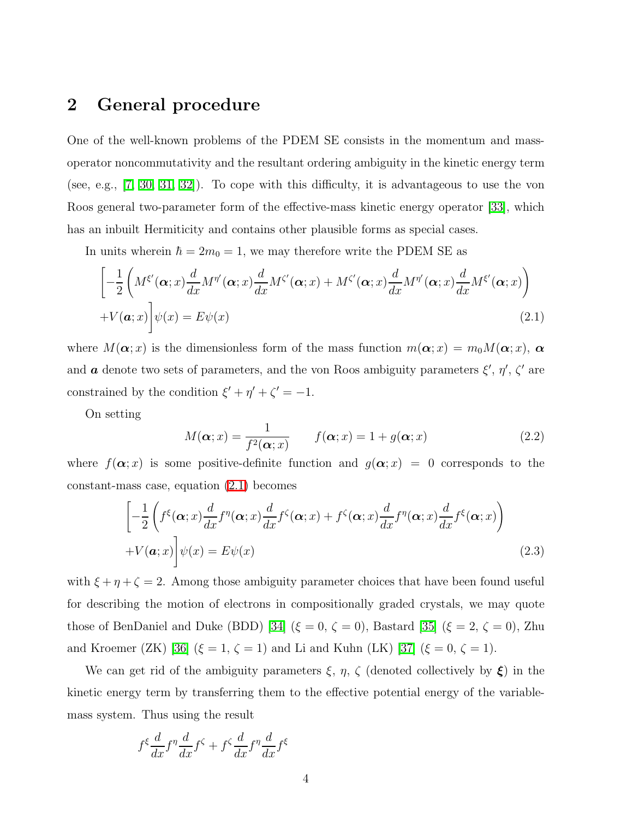### 2 General procedure

One of the well-known problems of the PDEM SE consists in the momentum and massoperator noncommutativity and the resultant ordering ambiguity in the kinetic energy term (see, e.g., [\[7,](#page-23-6) [30,](#page-25-2) [31,](#page-25-3) [32\]](#page-25-4)). To cope with this difficulty, it is advantageous to use the von Roos general two-parameter form of the effective-mass kinetic energy operator [\[33\]](#page-25-5), which has an inbuilt Hermiticity and contains other plausible forms as special cases.

<span id="page-3-0"></span>In units wherein  $\hbar = 2m_0 = 1$ , we may therefore write the PDEM SE as

$$
\left[ -\frac{1}{2} \left( M^{\xi'}(\boldsymbol{\alpha};x) \frac{d}{dx} M^{\eta'}(\boldsymbol{\alpha};x) \frac{d}{dx} M^{\zeta'}(\boldsymbol{\alpha};x) + M^{\zeta'}(\boldsymbol{\alpha};x) \frac{d}{dx} M^{\eta'}(\boldsymbol{\alpha};x) \frac{d}{dx} M^{\xi'}(\boldsymbol{\alpha};x) \right) + V(\boldsymbol{a};x) \right] \psi(x) = E \psi(x)
$$
\n(2.1)

where  $M(\alpha; x)$  is the dimensionless form of the mass function  $m(\alpha; x) = m_0 M(\alpha; x)$ ,  $\alpha$ and  $\boldsymbol{a}$  denote two sets of parameters, and the von Roos ambiguity parameters  $\xi', \eta', \zeta'$  are constrained by the condition  $\xi' + \eta' + \zeta' = -1$ .

<span id="page-3-2"></span>On setting

$$
M(\boldsymbol{\alpha};x) = \frac{1}{f^2(\boldsymbol{\alpha};x)} \qquad f(\boldsymbol{\alpha};x) = 1 + g(\boldsymbol{\alpha};x) \tag{2.2}
$$

<span id="page-3-1"></span>where  $f(\alpha; x)$  is some positive-definite function and  $g(\alpha; x) = 0$  corresponds to the constant-mass case, equation [\(2.1\)](#page-3-0) becomes

$$
\left[ -\frac{1}{2} \left( f^{\xi}(\boldsymbol{\alpha};x) \frac{d}{dx} f^{\eta}(\boldsymbol{\alpha};x) \frac{d}{dx} f^{\zeta}(\boldsymbol{\alpha};x) + f^{\zeta}(\boldsymbol{\alpha};x) \frac{d}{dx} f^{\eta}(\boldsymbol{\alpha};x) \frac{d}{dx} f^{\xi}(\boldsymbol{\alpha};x) \right) \right]
$$
  
+  $V(\boldsymbol{\alpha};x) \left[ \psi(x) = E \psi(x) \right]$  (2.3)

with  $\xi + \eta + \zeta = 2$ . Among those ambiguity parameter choices that have been found useful for describing the motion of electrons in compositionally graded crystals, we may quote those of BenDaniel and Duke (BDD) [\[34\]](#page-25-6) ( $\xi = 0$ ,  $\zeta = 0$ ), Bastard [\[35\]](#page-25-7) ( $\xi = 2$ ,  $\zeta = 0$ ), Zhu and Kroemer (ZK) [\[36\]](#page-25-8) ( $\xi = 1, \zeta = 1$ ) and Li and Kuhn (LK) [\[37\]](#page-25-9) ( $\xi = 0, \zeta = 1$ ).

We can get rid of the ambiguity parameters  $\xi$ ,  $\eta$ ,  $\zeta$  (denoted collectively by  $\xi$ ) in the kinetic energy term by transferring them to the effective potential energy of the variablemass system. Thus using the result

$$
f^{\xi} \frac{d}{dx} f^{\eta} \frac{d}{dx} f^{\zeta} + f^{\zeta} \frac{d}{dx} f^{\eta} \frac{d}{dx} f^{\xi}
$$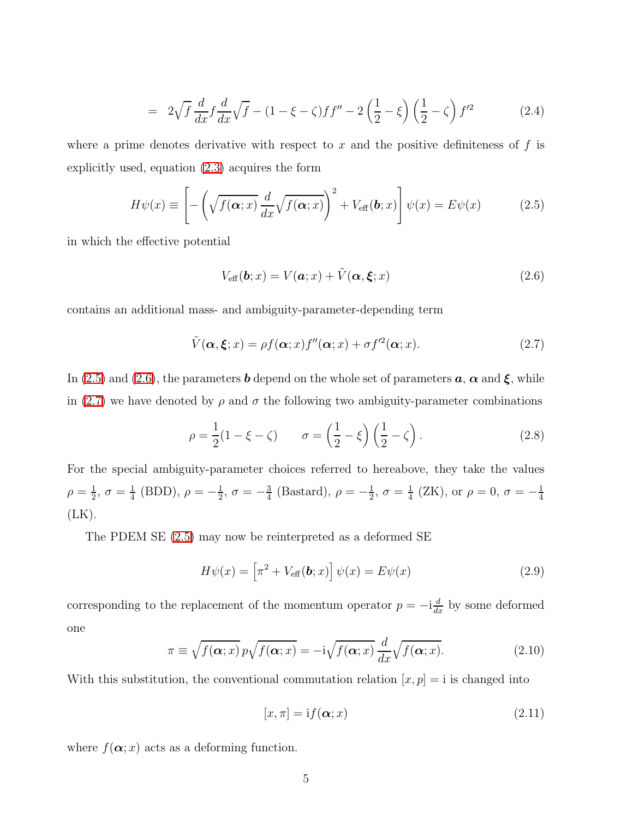$$
= 2\sqrt{f} \frac{d}{dx} f \frac{d}{dx} \sqrt{f} - (1 - \xi - \zeta) f f'' - 2\left(\frac{1}{2} - \xi\right) \left(\frac{1}{2} - \zeta\right) f'^2 \tag{2.4}
$$

<span id="page-4-0"></span>where a prime denotes derivative with respect to x and the positive definiteness of  $f$  is explicitly used, equation [\(2.3\)](#page-3-1) acquires the form

<span id="page-4-1"></span>
$$
H\psi(x) \equiv \left[ -\left(\sqrt{f(\boldsymbol{\alpha};x)}\,\frac{d}{dx}\sqrt{f(\boldsymbol{\alpha};x)}\right)^2 + V_{\text{eff}}(\boldsymbol{b};x) \right] \psi(x) = E\psi(x) \tag{2.5}
$$

in which the effective potential

$$
V_{\text{eff}}(\boldsymbol{b};x) = V(\boldsymbol{a};x) + \tilde{V}(\boldsymbol{\alpha},\boldsymbol{\xi};x)
$$
\n(2.6)

<span id="page-4-2"></span>contains an additional mass- and ambiguity-parameter-depending term

$$
\tilde{V}(\boldsymbol{\alpha}, \boldsymbol{\xi}; x) = \rho f(\boldsymbol{\alpha}; x) f''(\boldsymbol{\alpha}; x) + \sigma f'^2(\boldsymbol{\alpha}; x). \tag{2.7}
$$

In [\(2.5\)](#page-4-0) and [\(2.6\)](#page-4-1), the parameters **b** depend on the whole set of parameters  $a, \alpha$  and  $\xi$ , while in [\(2.7\)](#page-4-2) we have denoted by  $\rho$  and  $\sigma$  the following two ambiguity-parameter combinations

$$
\rho = \frac{1}{2}(1 - \xi - \zeta) \qquad \sigma = \left(\frac{1}{2} - \xi\right)\left(\frac{1}{2} - \zeta\right). \tag{2.8}
$$

For the special ambiguity-parameter choices referred to hereabove, they take the values  $\rho = \frac{1}{2}$  $\frac{1}{2}, \sigma = \frac{1}{4}$  $\frac{1}{4}$  (BDD),  $\rho = -\frac{1}{2}$  $\frac{1}{2}$ ,  $\sigma = -\frac{3}{4}$  $\frac{3}{4}$  (Bastard),  $\rho = -\frac{1}{2}$  $\frac{1}{2}, \sigma = \frac{1}{4}$  $\frac{1}{4}$  (ZK), or  $\rho = 0$ ,  $\sigma = -\frac{1}{4}$ 4  $(LK)$ .

<span id="page-4-3"></span>The PDEM SE [\(2.5\)](#page-4-0) may now be reinterpreted as a deformed SE

$$
H\psi(x) = \left[\pi^2 + V_{\text{eff}}(\mathbf{b}; x)\right] \psi(x) = E\psi(x) \tag{2.9}
$$

<span id="page-4-4"></span>corresponding to the replacement of the momentum operator  $p = -i\frac{d}{dx}$  by some deformed one

$$
\pi \equiv \sqrt{f(\boldsymbol{\alpha};x)} \, p \sqrt{f(\boldsymbol{\alpha};x)} = -i \sqrt{f(\boldsymbol{\alpha};x)} \, \frac{d}{dx} \sqrt{f(\boldsymbol{\alpha};x)}.\tag{2.10}
$$

With this substitution, the conventional commutation relation  $[x, p] = i$  is changed into

$$
[x, \pi] = \mathrm{i} f(\alpha; x) \tag{2.11}
$$

where  $f(\boldsymbol{\alpha};x)$  acts as a deforming function.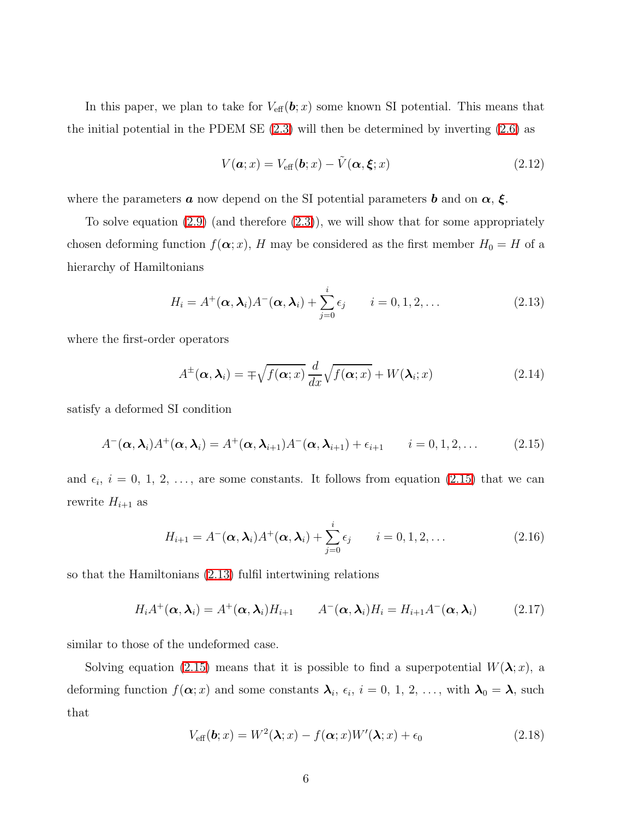In this paper, we plan to take for  $V_{\text{eff}}(\boldsymbol{b};x)$  some known SI potential. This means that the initial potential in the PDEM SE [\(2.3\)](#page-3-1) will then be determined by inverting [\(2.6\)](#page-4-1) as

<span id="page-5-4"></span>
$$
V(\boldsymbol{a};x) = V_{\text{eff}}(\boldsymbol{b};x) - \tilde{V}(\boldsymbol{\alpha},\boldsymbol{\xi};x)
$$
\n(2.12)

where the parameters  $\boldsymbol{a}$  now depend on the SI potential parameters  $\boldsymbol{b}$  and on  $\boldsymbol{\alpha}$ ,  $\boldsymbol{\xi}$ .

<span id="page-5-1"></span>To solve equation  $(2.9)$  (and therefore  $(2.3)$ ), we will show that for some appropriately chosen deforming function  $f(\boldsymbol{\alpha}; x)$ , H may be considered as the first member  $H_0 = H$  of a hierarchy of Hamiltonians

$$
H_i = A^+(\boldsymbol{\alpha}, \boldsymbol{\lambda}_i) A^-(\boldsymbol{\alpha}, \boldsymbol{\lambda}_i) + \sum_{j=0}^i \epsilon_j \qquad i = 0, 1, 2, \dots
$$
 (2.13)

<span id="page-5-3"></span>where the first-order operators

$$
A^{\pm}(\boldsymbol{\alpha},\boldsymbol{\lambda}_i) = \mp \sqrt{f(\boldsymbol{\alpha};x)} \frac{d}{dx} \sqrt{f(\boldsymbol{\alpha};x)} + W(\boldsymbol{\lambda}_i;x)
$$
(2.14)

<span id="page-5-0"></span>satisfy a deformed SI condition

$$
A^{-}(\boldsymbol{\alpha},\boldsymbol{\lambda}_{i})A^{+}(\boldsymbol{\alpha},\boldsymbol{\lambda}_{i})=A^{+}(\boldsymbol{\alpha},\boldsymbol{\lambda}_{i+1})A^{-}(\boldsymbol{\alpha},\boldsymbol{\lambda}_{i+1})+\epsilon_{i+1} \qquad i=0,1,2,\ldots
$$
 (2.15)

and  $\epsilon_i$ ,  $i = 0, 1, 2, \ldots$ , are some constants. It follows from equation [\(2.15\)](#page-5-0) that we can rewrite  $H_{i+1}$  as

$$
H_{i+1} = A^{-}(\boldsymbol{\alpha}, \boldsymbol{\lambda}_i) A^{+}(\boldsymbol{\alpha}, \boldsymbol{\lambda}_i) + \sum_{j=0}^{i} \epsilon_j \qquad i = 0, 1, 2, \dots
$$
 (2.16)

so that the Hamiltonians [\(2.13\)](#page-5-1) fulfil intertwining relations

$$
H_i A^+(\alpha, \lambda_i) = A^+(\alpha, \lambda_i) H_{i+1} \qquad A^-(\alpha, \lambda_i) H_i = H_{i+1} A^-(\alpha, \lambda_i) \tag{2.17}
$$

similar to those of the undeformed case.

<span id="page-5-2"></span>Solving equation [\(2.15\)](#page-5-0) means that it is possible to find a superpotential  $W(\lambda; x)$ , a deforming function  $f(\boldsymbol{\alpha};x)$  and some constants  $\boldsymbol{\lambda}_i$ ,  $\epsilon_i$ ,  $i=0, 1, 2, \ldots$ , with  $\boldsymbol{\lambda}_0 = \boldsymbol{\lambda}$ , such that

$$
V_{\text{eff}}(\boldsymbol{b};x) = W^2(\boldsymbol{\lambda};x) - f(\boldsymbol{\alpha};x)W'(\boldsymbol{\lambda};x) + \epsilon_0
$$
\n(2.18)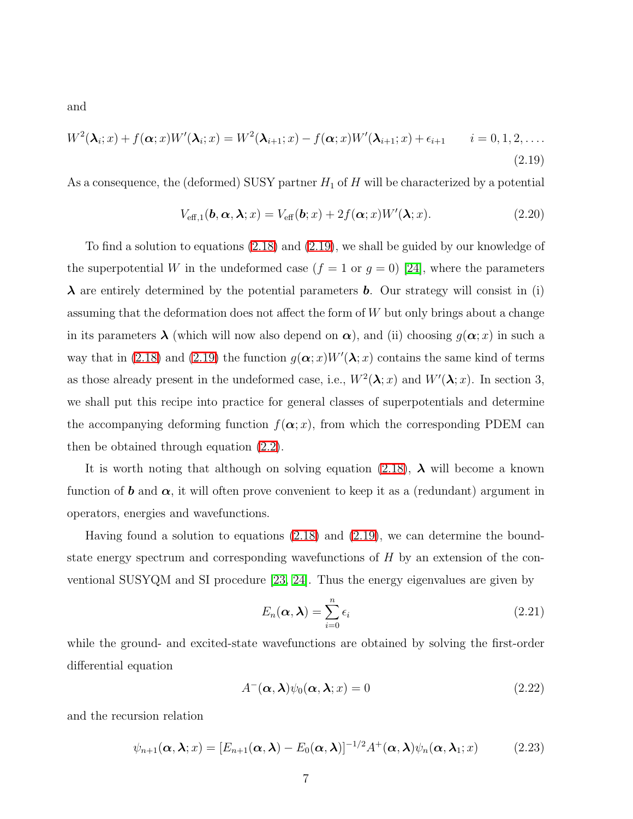<span id="page-6-0"></span>and

$$
W^{2}(\boldsymbol{\lambda}_{i};x) + f(\boldsymbol{\alpha};x)W'(\boldsymbol{\lambda}_{i};x) = W^{2}(\boldsymbol{\lambda}_{i+1};x) - f(\boldsymbol{\alpha};x)W'(\boldsymbol{\lambda}_{i+1};x) + \epsilon_{i+1} \qquad i = 0, 1, 2, ....
$$
\n(2.19)

<span id="page-6-4"></span>As a consequence, the (deformed) SUSY partner  $H_1$  of  $H$  will be characterized by a potential

$$
V_{\text{eff},1}(\boldsymbol{b}, \boldsymbol{\alpha}, \boldsymbol{\lambda}; x) = V_{\text{eff}}(\boldsymbol{b}; x) + 2f(\boldsymbol{\alpha}; x)W'(\boldsymbol{\lambda}; x).
$$
 (2.20)

To find a solution to equations [\(2.18\)](#page-5-2) and [\(2.19\)](#page-6-0), we shall be guided by our knowledge of the superpotential W in the undeformed case  $(f = 1 \text{ or } g = 0)$  [\[24\]](#page-24-8), where the parameters  $\lambda$  are entirely determined by the potential parameters **b**. Our strategy will consist in (i) assuming that the deformation does not affect the form of W but only brings about a change in its parameters  $\lambda$  (which will now also depend on  $\alpha$ ), and (ii) choosing  $g(\alpha; x)$  in such a way that in [\(2.18\)](#page-5-2) and [\(2.19\)](#page-6-0) the function  $g(\alpha; x)W'(\lambda; x)$  contains the same kind of terms as those already present in the undeformed case, i.e.,  $W^2(\lambda; x)$  and  $W'(\lambda; x)$ . In section 3, we shall put this recipe into practice for general classes of superpotentials and determine the accompanying deforming function  $f(\boldsymbol{\alpha}; x)$ , from which the corresponding PDEM can then be obtained through equation [\(2.2\)](#page-3-2).

It is worth noting that although on solving equation [\(2.18\)](#page-5-2),  $\lambda$  will become a known function of **b** and  $\alpha$ , it will often prove convenient to keep it as a (redundant) argument in operators, energies and wavefunctions.

Having found a solution to equations [\(2.18\)](#page-5-2) and [\(2.19\)](#page-6-0), we can determine the boundstate energy spectrum and corresponding wavefunctions of  $H$  by an extension of the conventional SUSYQM and SI procedure [\[23,](#page-24-7) [24\]](#page-24-8). Thus the energy eigenvalues are given by

<span id="page-6-1"></span>
$$
E_n(\alpha, \lambda) = \sum_{i=0}^n \epsilon_i
$$
\n(2.21)

while the ground- and excited-state wavefunctions are obtained by solving the first-order differential equation

<span id="page-6-2"></span>
$$
A^{-}(\alpha, \lambda)\psi_0(\alpha, \lambda; x) = 0
$$
\n(2.22)

<span id="page-6-3"></span>and the recursion relation

$$
\psi_{n+1}(\boldsymbol{\alpha},\boldsymbol{\lambda};x) = [E_{n+1}(\boldsymbol{\alpha},\boldsymbol{\lambda}) - E_0(\boldsymbol{\alpha},\boldsymbol{\lambda})]^{-1/2} A^+(\boldsymbol{\alpha},\boldsymbol{\lambda}) \psi_n(\boldsymbol{\alpha},\boldsymbol{\lambda}_1;x) \quad (2.23)
$$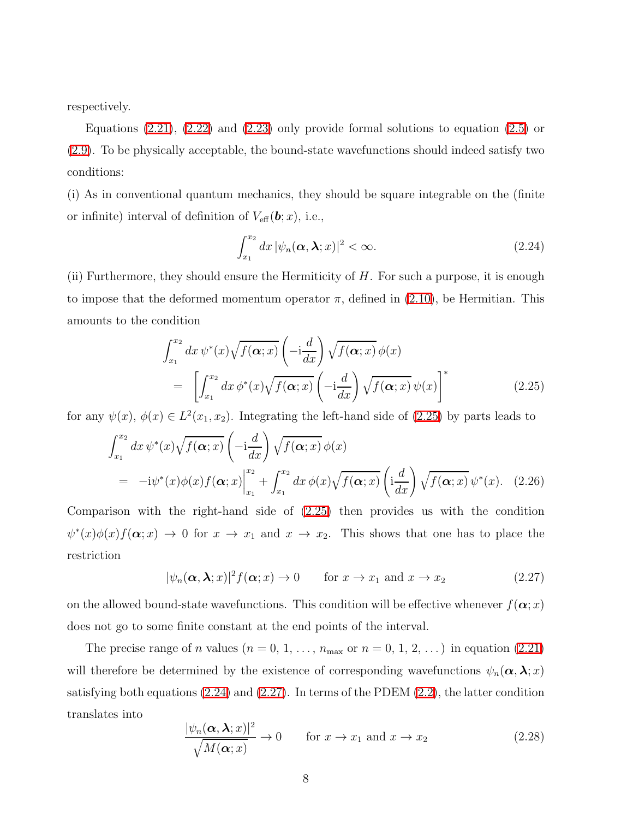respectively.

Equations  $(2.21)$ ,  $(2.22)$  and  $(2.23)$  only provide formal solutions to equation  $(2.5)$  or [\(2.9\)](#page-4-3). To be physically acceptable, the bound-state wavefunctions should indeed satisfy two conditions:

(i) As in conventional quantum mechanics, they should be square integrable on the (finite or infinite) interval of definition of  $V_{\text{eff}}(\boldsymbol{b};x)$ , i.e.,

<span id="page-7-1"></span>
$$
\int_{x_1}^{x_2} dx \, |\psi_n(\mathbf{\alpha}, \mathbf{\lambda}; x)|^2 < \infty. \tag{2.24}
$$

<span id="page-7-0"></span>(ii) Furthermore, they should ensure the Hermiticity of  $H$ . For such a purpose, it is enough to impose that the deformed momentum operator  $\pi$ , defined in [\(2.10\)](#page-4-4), be Hermitian. This amounts to the condition

$$
\int_{x_1}^{x_2} dx \, \psi^*(x) \sqrt{f(\alpha; x)} \left( -i \frac{d}{dx} \right) \sqrt{f(\alpha; x)} \, \phi(x)
$$
\n
$$
= \left[ \int_{x_1}^{x_2} dx \, \phi^*(x) \sqrt{f(\alpha; x)} \left( -i \frac{d}{dx} \right) \sqrt{f(\alpha; x)} \, \psi(x) \right]^*
$$
\n(2.25)

for any  $\psi(x)$ ,  $\phi(x) \in L^2(x_1, x_2)$ . Integrating the left-hand side of [\(2.25\)](#page-7-0) by parts leads to

$$
\int_{x_1}^{x_2} dx \, \psi^*(x) \sqrt{f(\boldsymbol{\alpha};x)} \left( -i \frac{d}{dx} \right) \sqrt{f(\boldsymbol{\alpha};x)} \, \phi(x)
$$
\n
$$
= -i \psi^*(x) \phi(x) f(\boldsymbol{\alpha};x) \Big|_{x_1}^{x_2} + \int_{x_1}^{x_2} dx \, \phi(x) \sqrt{f(\boldsymbol{\alpha};x)} \left( i \frac{d}{dx} \right) \sqrt{f(\boldsymbol{\alpha};x)} \, \psi^*(x). \tag{2.26}
$$

<span id="page-7-2"></span>Comparison with the right-hand side of [\(2.25\)](#page-7-0) then provides us with the condition  $\psi^*(x)\phi(x)f(\boldsymbol{\alpha};x) \to 0$  for  $x \to x_1$  and  $x \to x_2$ . This shows that one has to place the restriction

$$
|\psi_n(\boldsymbol{\alpha}, \boldsymbol{\lambda}; x)|^2 f(\boldsymbol{\alpha}; x) \to 0 \quad \text{for } x \to x_1 \text{ and } x \to x_2 \tag{2.27}
$$

on the allowed bound-state wavefunctions. This condition will be effective whenever  $f(\alpha; x)$ does not go to some finite constant at the end points of the interval.

<span id="page-7-3"></span>The precise range of *n* values  $(n = 0, 1, \ldots, n_{\text{max}} \text{ or } n = 0, 1, 2, \ldots)$  in equation [\(2.21\)](#page-6-1) will therefore be determined by the existence of corresponding wavefunctions  $\psi_n(\alpha, \lambda; x)$ satisfying both equations  $(2.24)$  and  $(2.27)$ . In terms of the PDEM  $(2.2)$ , the latter condition translates into

$$
\frac{|\psi_n(\mathbf{\alpha}, \mathbf{\lambda}; x)|^2}{\sqrt{M(\mathbf{\alpha}; x)}} \to 0 \qquad \text{for } x \to x_1 \text{ and } x \to x_2 \tag{2.28}
$$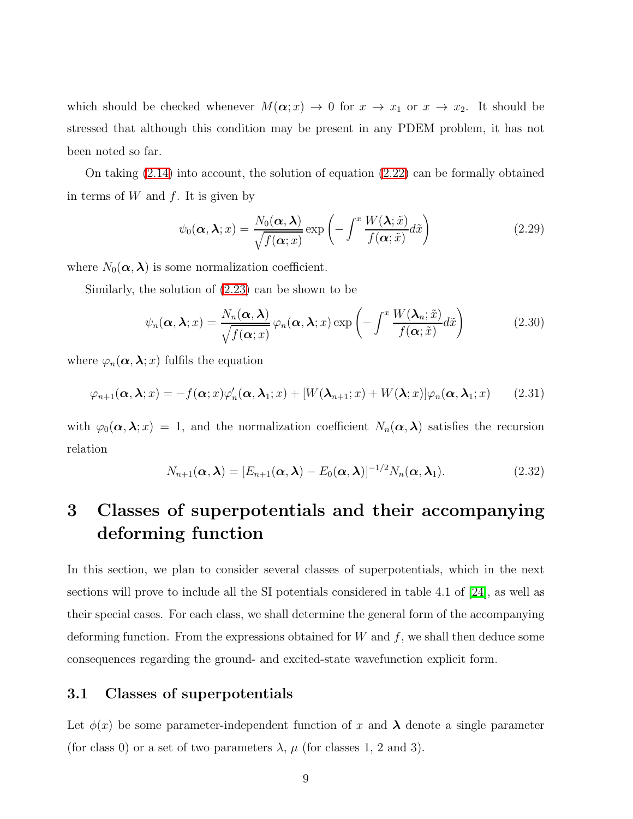which should be checked whenever  $M(\alpha; x) \to 0$  for  $x \to x_1$  or  $x \to x_2$ . It should be stressed that although this condition may be present in any PDEM problem, it has not been noted so far.

<span id="page-8-0"></span>On taking  $(2.14)$  into account, the solution of equation  $(2.22)$  can be formally obtained in terms of W and  $f$ . It is given by

$$
\psi_0(\boldsymbol{\alpha}, \boldsymbol{\lambda}; x) = \frac{N_0(\boldsymbol{\alpha}, \boldsymbol{\lambda})}{\sqrt{f(\boldsymbol{\alpha}; x)}} \exp\left(-\int^x \frac{W(\boldsymbol{\lambda}; \tilde{x})}{f(\boldsymbol{\alpha}; \tilde{x})} d\tilde{x}\right)
$$
(2.29)

where  $N_0(\boldsymbol{\alpha}, \boldsymbol{\lambda})$  is some normalization coefficient.

<span id="page-8-1"></span>Similarly, the solution of [\(2.23\)](#page-6-3) can be shown to be

$$
\psi_n(\boldsymbol{\alpha}, \boldsymbol{\lambda}; x) = \frac{N_n(\boldsymbol{\alpha}, \boldsymbol{\lambda})}{\sqrt{f(\boldsymbol{\alpha}; x)}} \varphi_n(\boldsymbol{\alpha}, \boldsymbol{\lambda}; x) \exp\left(-\int^x \frac{W(\boldsymbol{\lambda}_n; \tilde{x})}{f(\boldsymbol{\alpha}; \tilde{x})} d\tilde{x}\right)
$$
(2.30)

<span id="page-8-2"></span>where  $\varphi_n(\boldsymbol{\alpha},\boldsymbol{\lambda};x)$  fulfils the equation

$$
\varphi_{n+1}(\boldsymbol{\alpha},\boldsymbol{\lambda};x) = -f(\boldsymbol{\alpha};x)\varphi_n'(\boldsymbol{\alpha},\boldsymbol{\lambda}_1;x) + [W(\boldsymbol{\lambda}_{n+1};x) + W(\boldsymbol{\lambda};x)]\varphi_n(\boldsymbol{\alpha},\boldsymbol{\lambda}_1;x) \qquad (2.31)
$$

with  $\varphi_0(\alpha, \lambda; x) = 1$ , and the normalization coefficient  $N_n(\alpha, \lambda)$  satisfies the recursion relation

$$
N_{n+1}(\boldsymbol{\alpha},\boldsymbol{\lambda})=[E_{n+1}(\boldsymbol{\alpha},\boldsymbol{\lambda})-E_0(\boldsymbol{\alpha},\boldsymbol{\lambda})]^{-1/2}N_n(\boldsymbol{\alpha},\boldsymbol{\lambda}_1).
$$
\n(2.32)

# 3 Classes of superpotentials and their accompanying deforming function

In this section, we plan to consider several classes of superpotentials, which in the next sections will prove to include all the SI potentials considered in table 4.1 of [\[24\]](#page-24-8), as well as their special cases. For each class, we shall determine the general form of the accompanying deforming function. From the expressions obtained for  $W$  and  $f$ , we shall then deduce some consequences regarding the ground- and excited-state wavefunction explicit form.

#### 3.1 Classes of superpotentials

Let  $\phi(x)$  be some parameter-independent function of x and  $\lambda$  denote a single parameter (for class 0) or a set of two parameters  $\lambda$ ,  $\mu$  (for classes 1, 2 and 3).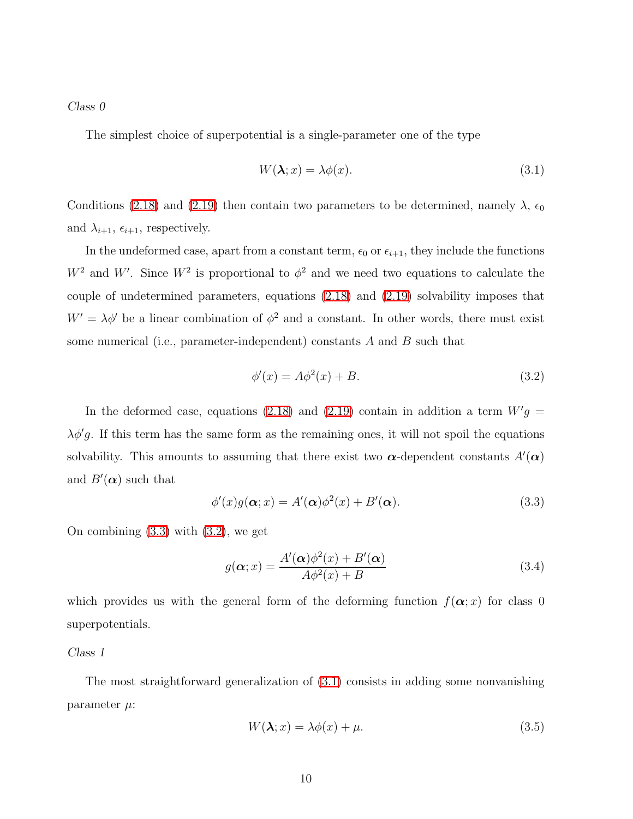*Class 0*

The simplest choice of superpotential is a single-parameter one of the type

<span id="page-9-2"></span>
$$
W(\lambda; x) = \lambda \phi(x). \tag{3.1}
$$

Conditions [\(2.18\)](#page-5-2) and [\(2.19\)](#page-6-0) then contain two parameters to be determined, namely  $\lambda$ ,  $\epsilon_0$ and  $\lambda_{i+1}$ ,  $\epsilon_{i+1}$ , respectively.

In the undeformed case, apart from a constant term,  $\epsilon_0$  or  $\epsilon_{i+1}$ , they include the functions  $W^2$  and W'. Since  $W^2$  is proportional to  $\phi^2$  and we need two equations to calculate the couple of undetermined parameters, equations [\(2.18\)](#page-5-2) and [\(2.19\)](#page-6-0) solvability imposes that  $W' = \lambda \phi'$  be a linear combination of  $\phi^2$  and a constant. In other words, there must exist some numerical (i.e., parameter-independent) constants  $A$  and  $B$  such that

<span id="page-9-1"></span>
$$
\phi'(x) = A\phi^2(x) + B.\tag{3.2}
$$

In the deformed case, equations [\(2.18\)](#page-5-2) and [\(2.19\)](#page-6-0) contain in addition a term  $W'g =$  $\lambda \phi' g$ . If this term has the same form as the remaining ones, it will not spoil the equations solvability. This amounts to assuming that there exist two  $\alpha$ -dependent constants  $A'(\alpha)$ and  $B'(\alpha)$  such that

<span id="page-9-3"></span><span id="page-9-0"></span>
$$
\phi'(x)g(\boldsymbol{\alpha};x) = A'(\boldsymbol{\alpha})\phi^2(x) + B'(\boldsymbol{\alpha}).
$$
\n(3.3)

On combining [\(3.3\)](#page-9-0) with [\(3.2\)](#page-9-1), we get

$$
g(\alpha; x) = \frac{A'(\alpha)\phi^2(x) + B'(\alpha)}{A\phi^2(x) + B}
$$
\n(3.4)

which provides us with the general form of the deforming function  $f(\alpha; x)$  for class 0 superpotentials.

#### *Class 1*

The most straightforward generalization of [\(3.1\)](#page-9-2) consists in adding some nonvanishing parameter  $\mu$ :

<span id="page-9-4"></span>
$$
W(\lambda; x) = \lambda \phi(x) + \mu. \tag{3.5}
$$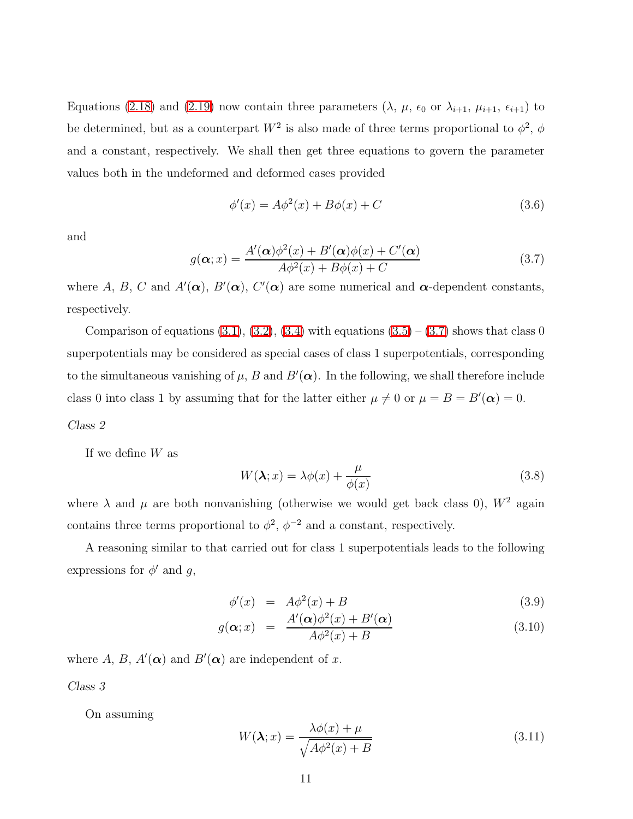Equations [\(2.18\)](#page-5-2) and [\(2.19\)](#page-6-0) now contain three parameters ( $\lambda$ ,  $\mu$ ,  $\epsilon_0$  or  $\lambda_{i+1}$ ,  $\mu_{i+1}$ ,  $\epsilon_{i+1}$ ) to be determined, but as a counterpart  $W^2$  is also made of three terms proportional to  $\phi^2$ ,  $\phi$ and a constant, respectively. We shall then get three equations to govern the parameter values both in the undeformed and deformed cases provided

$$
\phi'(x) = A\phi^2(x) + B\phi(x) + C\tag{3.6}
$$

<span id="page-10-0"></span>and

$$
g(\alpha; x) = \frac{A'(\alpha)\phi^2(x) + B'(\alpha)\phi(x) + C'(\alpha)}{A\phi^2(x) + B\phi(x) + C}
$$
(3.7)

where A, B, C and  $A'(\alpha)$ ,  $B'(\alpha)$ ,  $C'(\alpha)$  are some numerical and  $\alpha$ -dependent constants, respectively.

Comparison of equations  $(3.1), (3.2), (3.4)$  $(3.1), (3.2), (3.4)$  $(3.1), (3.2), (3.4)$  $(3.1), (3.2), (3.4)$  with equations  $(3.5) - (3.7)$  $(3.5) - (3.7)$  shows that class 0 superpotentials may be considered as special cases of class 1 superpotentials, corresponding to the simultaneous vanishing of  $\mu$ , B and  $B'(\alpha)$ . In the following, we shall therefore include class 0 into class 1 by assuming that for the latter either  $\mu \neq 0$  or  $\mu = B = B'(\alpha) = 0$ .

#### *Class 2*

If we define  $W$  as

$$
W(\lambda; x) = \lambda \phi(x) + \frac{\mu}{\phi(x)}
$$
\n(3.8)

where  $\lambda$  and  $\mu$  are both nonvanishing (otherwise we would get back class 0),  $W^2$  again contains three terms proportional to  $\phi^2$ ,  $\phi^{-2}$  and a constant, respectively.

A reasoning similar to that carried out for class 1 superpotentials leads to the following expressions for  $\phi'$  and g,

$$
\phi'(x) = A\phi^2(x) + B \tag{3.9}
$$

$$
g(\alpha; x) = \frac{A'(\alpha)\phi^2(x) + B'(\alpha)}{A\phi^2(x) + B}
$$
\n(3.10)

where A, B,  $A'(\alpha)$  and  $B'(\alpha)$  are independent of x.

*Class 3*

On assuming

$$
W(\lambda; x) = \frac{\lambda \phi(x) + \mu}{\sqrt{A\phi^2(x) + B}}
$$
(3.11)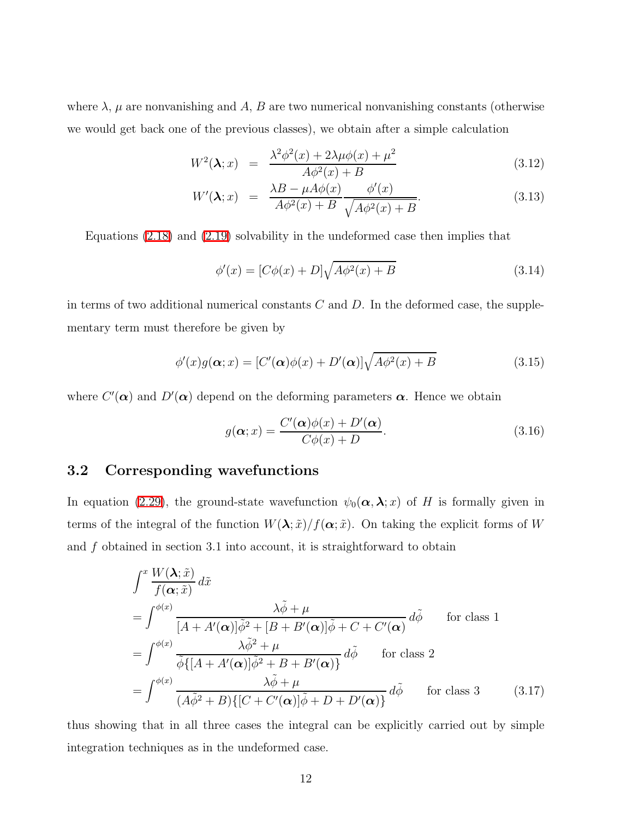where  $\lambda$ ,  $\mu$  are nonvanishing and A, B are two numerical nonvanishing constants (otherwise we would get back one of the previous classes), we obtain after a simple calculation

$$
W^{2}(\lambda; x) = \frac{\lambda^{2} \phi^{2}(x) + 2\lambda \mu \phi(x) + \mu^{2}}{A \phi^{2}(x) + B}
$$
(3.12)

$$
W'(\lambda; x) = \frac{\lambda B - \mu A \phi(x)}{A \phi^2(x) + B} \frac{\phi'(x)}{\sqrt{A \phi^2(x) + B}}.
$$
\n(3.13)

Equations [\(2.18\)](#page-5-2) and [\(2.19\)](#page-6-0) solvability in the undeformed case then implies that

$$
\phi'(x) = [C\phi(x) + D]\sqrt{A\phi^2(x) + B}
$$
\n(3.14)

in terms of two additional numerical constants  $C$  and  $D$ . In the deformed case, the supplementary term must therefore be given by

$$
\phi'(x)g(\boldsymbol{\alpha};x) = [C'(\boldsymbol{\alpha})\phi(x) + D'(\boldsymbol{\alpha})]\sqrt{A\phi^2(x) + B}
$$
\n(3.15)

where  $C'(\boldsymbol{\alpha})$  and  $D'(\boldsymbol{\alpha})$  depend on the deforming parameters  $\boldsymbol{\alpha}$ . Hence we obtain

$$
g(\alpha; x) = \frac{C'(\alpha)\phi(x) + D'(\alpha)}{C\phi(x) + D}.
$$
\n(3.16)

### 3.2 Corresponding wavefunctions

<span id="page-11-0"></span>In equation [\(2.29\)](#page-8-0), the ground-state wavefunction  $\psi_0(\alpha, \lambda; x)$  of H is formally given in terms of the integral of the function  $W(\lambda; \tilde{x})/f(\boldsymbol{\alpha}; \tilde{x})$ . On taking the explicit forms of W and  $f$  obtained in section 3.1 into account, it is straightforward to obtain

$$
\int^x \frac{W(\lambda; \tilde{x})}{f(\boldsymbol{\alpha}; \tilde{x})} d\tilde{x}
$$
\n=
$$
\int^{\phi(x)} \frac{\lambda \tilde{\phi} + \mu}{[A + A'(\boldsymbol{\alpha})] \tilde{\phi}^2 + [B + B'(\boldsymbol{\alpha})] \tilde{\phi} + C + C'(\boldsymbol{\alpha})} d\tilde{\phi} \quad \text{for class 1}
$$
\n=
$$
\int^{\phi(x)} \frac{\lambda \tilde{\phi}^2 + \mu}{\tilde{\phi} \{[A + A'(\boldsymbol{\alpha})] \tilde{\phi}^2 + B + B'(\boldsymbol{\alpha})\}} d\tilde{\phi} \quad \text{for class 2}
$$
\n=
$$
\int^{\phi(x)} \frac{\lambda \tilde{\phi} + \mu}{(A \tilde{\phi}^2 + B) \{[C + C'(\boldsymbol{\alpha})] \tilde{\phi} + D + D'(\boldsymbol{\alpha})\}} d\tilde{\phi} \quad \text{for class 3}
$$
\n(3.17)

thus showing that in all three cases the integral can be explicitly carried out by simple integration techniques as in the undeformed case.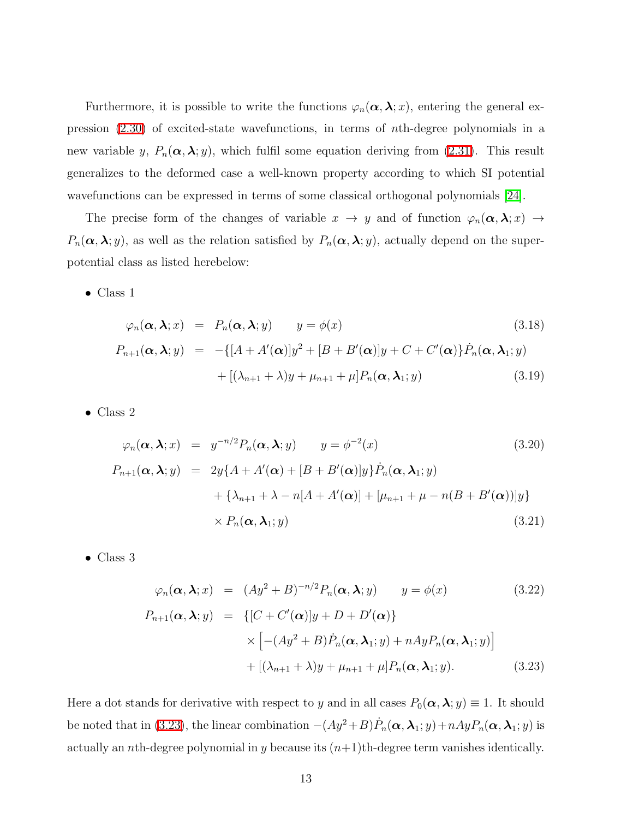Furthermore, it is possible to write the functions  $\varphi_n(\alpha, \lambda; x)$ , entering the general expression [\(2.30\)](#page-8-1) of excited-state wavefunctions, in terms of nth-degree polynomials in a new variable y,  $P_n(\alpha, \lambda; y)$ , which fulfil some equation deriving from [\(2.31\)](#page-8-2). This result generalizes to the deformed case a well-known property according to which SI potential wavefunctions can be expressed in terms of some classical orthogonal polynomials [\[24\]](#page-24-8).

The precise form of the changes of variable  $x \to y$  and of function  $\varphi_n(\alpha, \lambda; x) \to$  $P_n(\alpha, \lambda; y)$ , as well as the relation satisfied by  $P_n(\alpha, \lambda; y)$ , actually depend on the superpotential class as listed herebelow:

<span id="page-12-1"></span>• Class 1

$$
\varphi_n(\mathbf{\alpha}, \mathbf{\lambda}; x) = P_n(\mathbf{\alpha}, \mathbf{\lambda}; y) \qquad y = \phi(x) \tag{3.18}
$$
\n
$$
P_{n+1}(\mathbf{\alpha}, \mathbf{\lambda}; y) = -\{[A + A'(\mathbf{\alpha})]y^2 + [B + B'(\mathbf{\alpha})]y + C + C'(\mathbf{\alpha})\}\dot{P}_n(\mathbf{\alpha}, \mathbf{\lambda}_1; y) + [(\lambda_{n+1} + \lambda)y + \mu_{n+1} + \mu]P_n(\mathbf{\alpha}, \mathbf{\lambda}_1; y) \tag{3.19}
$$

• Class 2

$$
\varphi_n(\boldsymbol{\alpha}, \boldsymbol{\lambda}; x) = y^{-n/2} P_n(\boldsymbol{\alpha}, \boldsymbol{\lambda}; y) \qquad y = \phi^{-2}(x) \tag{3.20}
$$
\n
$$
P_{n+1}(\boldsymbol{\alpha}, \boldsymbol{\lambda}; y) = 2y \{ A + A'(\boldsymbol{\alpha}) + [B + B'(\boldsymbol{\alpha})] y \} \dot{P}_n(\boldsymbol{\alpha}, \boldsymbol{\lambda}_1; y) + \{ \lambda_{n+1} + \lambda - n [A + A'(\boldsymbol{\alpha})] + [\mu_{n+1} + \mu - n (B + B'(\boldsymbol{\alpha}))] y \} \times P_n(\boldsymbol{\alpha}, \boldsymbol{\lambda}_1; y) \tag{3.21}
$$

<span id="page-12-0"></span>• Class 3

$$
\varphi_n(\mathbf{\alpha}, \mathbf{\lambda}; x) = (Ay^2 + B)^{-n/2} P_n(\mathbf{\alpha}, \mathbf{\lambda}; y) \qquad y = \phi(x)
$$
(3.22)  

$$
P_{n+1}(\mathbf{\alpha}, \mathbf{\lambda}; y) = \{ [C + C'(\mathbf{\alpha})]y + D + D'(\mathbf{\alpha}) \}
$$

$$
\times \left[ -(Ay^2 + B)\dot{P}_n(\mathbf{\alpha}, \mathbf{\lambda}_1; y) + nAyP_n(\mathbf{\alpha}, \mathbf{\lambda}_1; y) \right]
$$

$$
+ \left[ (\lambda_{n+1} + \lambda)y + \mu_{n+1} + \mu \right] P_n(\mathbf{\alpha}, \mathbf{\lambda}_1; y).
$$
(3.23)

Here a dot stands for derivative with respect to y and in all cases  $P_0(\alpha, \lambda; y) \equiv 1$ . It should be noted that in [\(3.23\)](#page-12-0), the linear combination  $-(Ay^2+B)\dot{P}_n(\alpha,\lambda_1;y)+nAyP_n(\alpha,\lambda_1;y)$  is actually an *n*th-degree polynomial in y because its  $(n+1)$ th-degree term vanishes identically.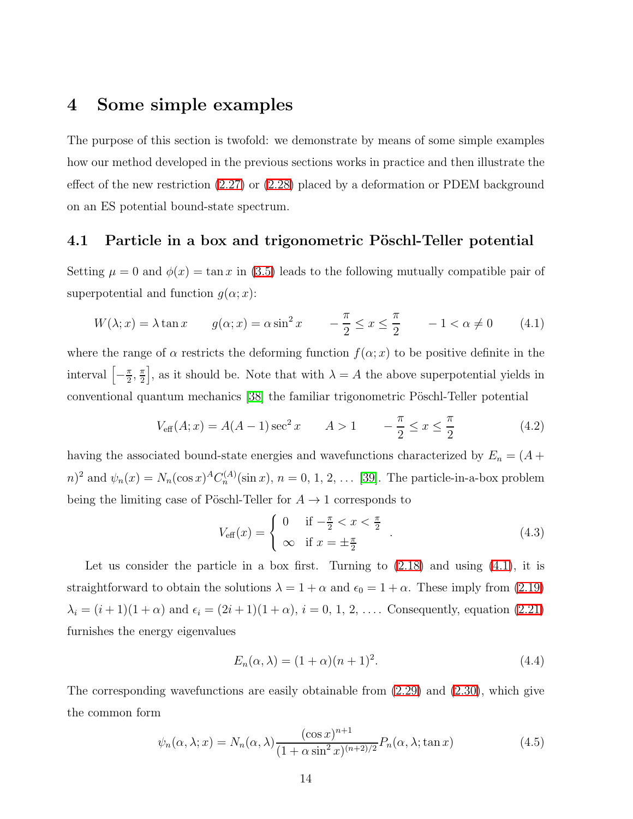## 4 Some simple examples

The purpose of this section is twofold: we demonstrate by means of some simple examples how our method developed in the previous sections works in practice and then illustrate the effect of the new restriction [\(2.27\)](#page-7-2) or [\(2.28\)](#page-7-3) placed by a deformation or PDEM background on an ES potential bound-state spectrum.

#### 4.1 Particle in a box and trigonometric Pöschl-Teller potential

<span id="page-13-0"></span>Setting  $\mu = 0$  and  $\phi(x) = \tan x$  in [\(3.5\)](#page-9-4) leads to the following mutually compatible pair of superpotential and function  $g(\alpha; x)$ :

$$
W(\lambda; x) = \lambda \tan x \qquad g(\alpha; x) = \alpha \sin^2 x \qquad -\frac{\pi}{2} \le x \le \frac{\pi}{2} \qquad -1 < \alpha \ne 0 \tag{4.1}
$$

where the range of  $\alpha$  restricts the deforming function  $f(\alpha; x)$  to be positive definite in the interval  $\left[-\frac{\pi}{2}\right]$  $\frac{\pi}{2}, \frac{\pi}{2}$  $\left[\frac{\pi}{2}\right]$ , as it should be. Note that with  $\lambda = A$  the above superpotential yields in conventional quantum mechanics [\[38\]](#page-25-10) the familiar trigonometric Pöschl-Teller potential

$$
V_{\text{eff}}(A; x) = A(A - 1)\sec^2 x \qquad A > 1 \qquad -\frac{\pi}{2} \le x \le \frac{\pi}{2}
$$
 (4.2)

having the associated bound-state energies and wavefunctions characterized by  $E_n = (A +$  $(n)^2$  and  $\psi_n(x) = N_n(\cos x)^A C_n^{(A)}(\sin x), n = 0, 1, 2, ...$  [\[39\]](#page-25-11). The particle-in-a-box problem being the limiting case of Pöschl-Teller for  $A \rightarrow 1$  corresponds to

$$
V_{\text{eff}}(x) = \begin{cases} 0 & \text{if } -\frac{\pi}{2} < x < \frac{\pi}{2} \\ \infty & \text{if } x = \pm \frac{\pi}{2} \end{cases} . \tag{4.3}
$$

Let us consider the particle in a box first. Turning to  $(2.18)$  and using  $(4.1)$ , it is straightforward to obtain the solutions  $\lambda = 1 + \alpha$  and  $\epsilon_0 = 1 + \alpha$ . These imply from [\(2.19\)](#page-6-0)  $\lambda_i = (i + 1)(1 + \alpha)$  and  $\epsilon_i = (2i + 1)(1 + \alpha)$ ,  $i = 0, 1, 2, ...$  Consequently, equation [\(2.21\)](#page-6-1) furnishes the energy eigenvalues

<span id="page-13-2"></span>
$$
E_n(\alpha, \lambda) = (1 + \alpha)(n+1)^2.
$$
\n
$$
(4.4)
$$

<span id="page-13-1"></span>The corresponding wavefunctions are easily obtainable from [\(2.29\)](#page-8-0) and [\(2.30\)](#page-8-1), which give the common form

$$
\psi_n(\alpha, \lambda; x) = N_n(\alpha, \lambda) \frac{(\cos x)^{n+1}}{(1 + \alpha \sin^2 x)^{(n+2)/2}} P_n(\alpha, \lambda; \tan x)
$$
\n(4.5)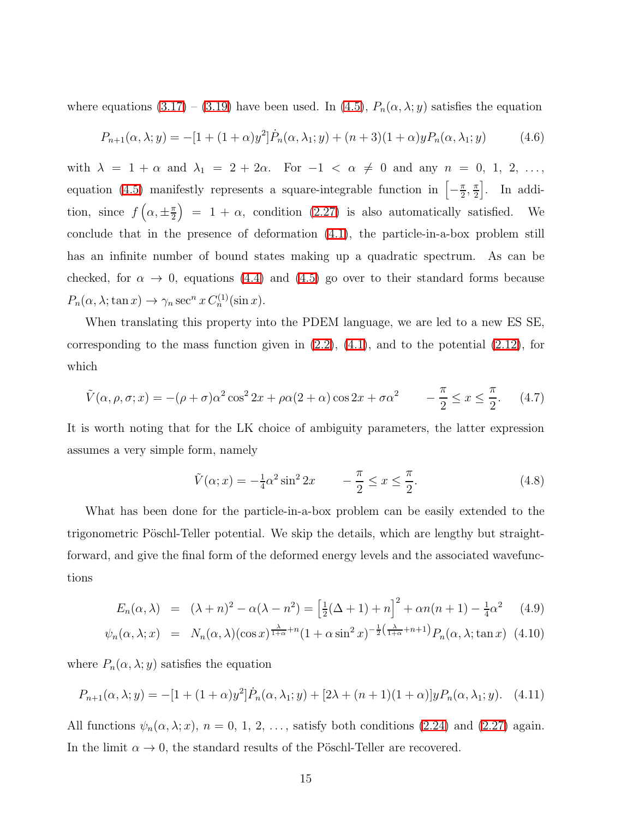where equations  $(3.17) - (3.19)$  $(3.17) - (3.19)$  have been used. In  $(4.5)$ ,  $P_n(\alpha, \lambda; y)$  satisfies the equation

$$
P_{n+1}(\alpha, \lambda; y) = -[1 + (1 + \alpha)y^2]\dot{P}_n(\alpha, \lambda_1; y) + (n+3)(1+\alpha)yP_n(\alpha, \lambda_1; y) \tag{4.6}
$$

with  $\lambda = 1 + \alpha$  and  $\lambda_1 = 2 + 2\alpha$ . For  $-1 < \alpha \neq 0$  and any  $n = 0, 1, 2, \ldots$ , equation [\(4.5\)](#page-13-1) manifestly represents a square-integrable function in  $\left[-\frac{\pi}{2}\right]$  $\frac{\pi}{2}, \frac{\pi}{2}$  $\left[\frac{\pi}{2}\right]$ . In addition, since  $f\left(\alpha,\pm\frac{\pi}{2}\right)$  $\left(\frac{\pi}{2}\right) = 1 + \alpha$ , condition [\(2.27\)](#page-7-2) is also automatically satisfied. We conclude that in the presence of deformation [\(4.1\)](#page-13-0), the particle-in-a-box problem still has an infinite number of bound states making up a quadratic spectrum. As can be checked, for  $\alpha \to 0$ , equations [\(4.4\)](#page-13-2) and [\(4.5\)](#page-13-1) go over to their standard forms because  $P_n(\alpha, \lambda; \tan x) \to \gamma_n \sec^n x C_n^{(1)}(\sin x).$ 

When translating this property into the PDEM language, we are led to a new ES SE, corresponding to the mass function given in  $(2.2)$ ,  $(4.1)$ , and to the potential  $(2.12)$ , for which

$$
\tilde{V}(\alpha, \rho, \sigma; x) = -(\rho + \sigma)\alpha^2 \cos^2 2x + \rho \alpha (2 + \alpha) \cos 2x + \sigma \alpha^2 \qquad -\frac{\pi}{2} \le x \le \frac{\pi}{2}.
$$
 (4.7)

It is worth noting that for the LK choice of ambiguity parameters, the latter expression assumes a very simple form, namely

$$
\tilde{V}(\alpha; x) = -\frac{1}{4}\alpha^2 \sin^2 2x \qquad -\frac{\pi}{2} \le x \le \frac{\pi}{2}.
$$
\n(4.8)

What has been done for the particle-in-a-box problem can be easily extended to the trigonometric Pöschl-Teller potential. We skip the details, which are lengthy but straightforward, and give the final form of the deformed energy levels and the associated wavefunctions

$$
E_n(\alpha, \lambda) = (\lambda + n)^2 - \alpha(\lambda - n^2) = \left[\frac{1}{2}(\Delta + 1) + n\right]^2 + \alpha n(n+1) - \frac{1}{4}\alpha^2 \quad (4.9)
$$

$$
\psi_n(\alpha, \lambda; x) = N_n(\alpha, \lambda)(\cos x)^{\frac{\lambda}{1+\alpha}+n} (1+\alpha \sin^2 x)^{-\frac{1}{2}(\frac{\lambda}{1+\alpha}+n+1)} P_n(\alpha, \lambda; \tan x) \tag{4.10}
$$

where  $P_n(\alpha, \lambda; y)$  satisfies the equation

$$
P_{n+1}(\alpha,\lambda;y) = -[1 + (1+\alpha)y^2]\dot{P}_n(\alpha,\lambda_1;y) + [2\lambda + (n+1)(1+\alpha)]yP_n(\alpha,\lambda_1;y). \tag{4.11}
$$

All functions  $\psi_n(\alpha, \lambda; x)$ ,  $n = 0, 1, 2, \ldots$ , satisfy both conditions [\(2.24\)](#page-7-1) and [\(2.27\)](#page-7-2) again. In the limit  $\alpha \to 0$ , the standard results of the Pöschl-Teller are recovered.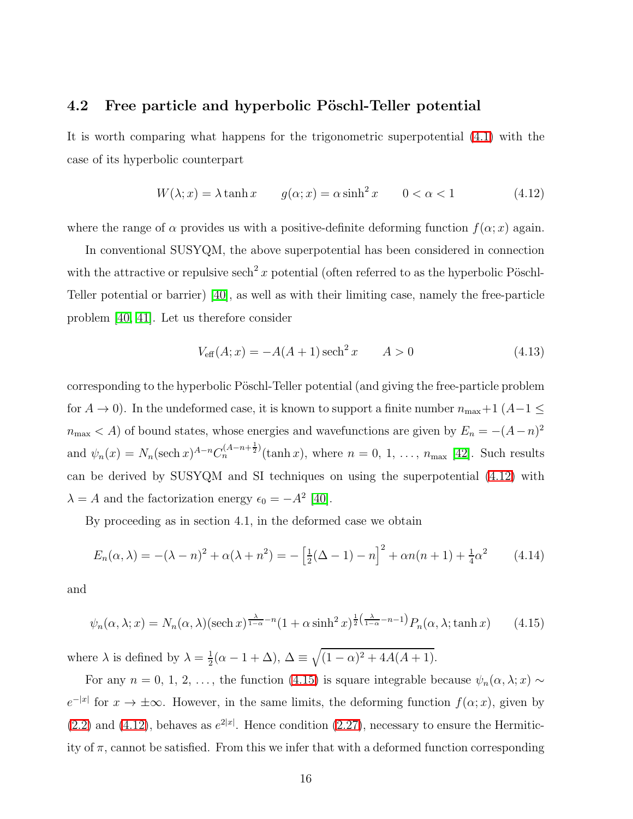#### 4.2 Free particle and hyperbolic Pöschl-Teller potential

<span id="page-15-0"></span>It is worth comparing what happens for the trigonometric superpotential [\(4.1\)](#page-13-0) with the case of its hyperbolic counterpart

$$
W(\lambda; x) = \lambda \tanh x \qquad g(\alpha; x) = \alpha \sinh^2 x \qquad 0 < \alpha < 1 \tag{4.12}
$$

where the range of  $\alpha$  provides us with a positive-definite deforming function  $f(\alpha; x)$  again.

In conventional SUSYQM, the above superpotential has been considered in connection with the attractive or repulsive sech<sup>2</sup> x potential (often referred to as the hyperbolic Pöschl-Teller potential or barrier) [\[40\]](#page-25-12), as well as with their limiting case, namely the free-particle problem [\[40,](#page-25-12) [41\]](#page-25-13). Let us therefore consider

$$
V_{\text{eff}}(A; x) = -A(A+1)\,\text{sech}^2 x \qquad A > 0 \tag{4.13}
$$

corresponding to the hyperbolic Pöschl-Teller potential (and giving the free-particle problem for  $A \to 0$ ). In the undeformed case, it is known to support a finite number  $n_{\text{max}}+1$  ( $A-1 \le$  $n_{\text{max}} < A$ ) of bound states, whose energies and wavefunctions are given by  $E_n = -(A - n)^2$ and  $\psi_n(x) = N_n(\text{sech }x)^{A-n}C_n^{(A-n+\frac{1}{2})}(\tanh x)$ , where  $n = 0, 1, \ldots, n_{\text{max}}$  [\[42\]](#page-25-14). Such results can be derived by SUSYQM and SI techniques on using the superpotential [\(4.12\)](#page-15-0) with  $\lambda = A$  and the factorization energy  $\epsilon_0 = -A^2$  [\[40\]](#page-25-12).

By proceeding as in section 4.1, in the deformed case we obtain

$$
E_n(\alpha, \lambda) = -(\lambda - n)^2 + \alpha(\lambda + n^2) = -\left[\frac{1}{2}(\Delta - 1) - n\right]^2 + \alpha n(n+1) + \frac{1}{4}\alpha^2 \tag{4.14}
$$

<span id="page-15-1"></span>and

$$
\psi_n(\alpha, \lambda; x) = N_n(\alpha, \lambda)(\text{sech } x)^{\frac{\lambda}{1-\alpha} - n} (1 + \alpha \sinh^2 x)^{\frac{1}{2}(\frac{\lambda}{1-\alpha} - n - 1)} P_n(\alpha, \lambda; \tanh x) \tag{4.15}
$$

where  $\lambda$  is defined by  $\lambda = \frac{1}{2}$  $\frac{1}{2}(\alpha - 1 + \Delta), \ \Delta \equiv \sqrt{(1 - \alpha)^2 + 4A(A + 1)}.$ 

For any  $n = 0, 1, 2, \ldots$ , the function [\(4.15\)](#page-15-1) is square integrable because  $\psi_n(\alpha, \lambda; x) \sim$  $e^{-|x|}$  for  $x \to \pm \infty$ . However, in the same limits, the deforming function  $f(\alpha; x)$ , given by  $(2.2)$  and  $(4.12)$ , behaves as  $e^{2|x|}$ . Hence condition  $(2.27)$ , necessary to ensure the Hermiticity of  $\pi$ , cannot be satisfied. From this we infer that with a deformed function corresponding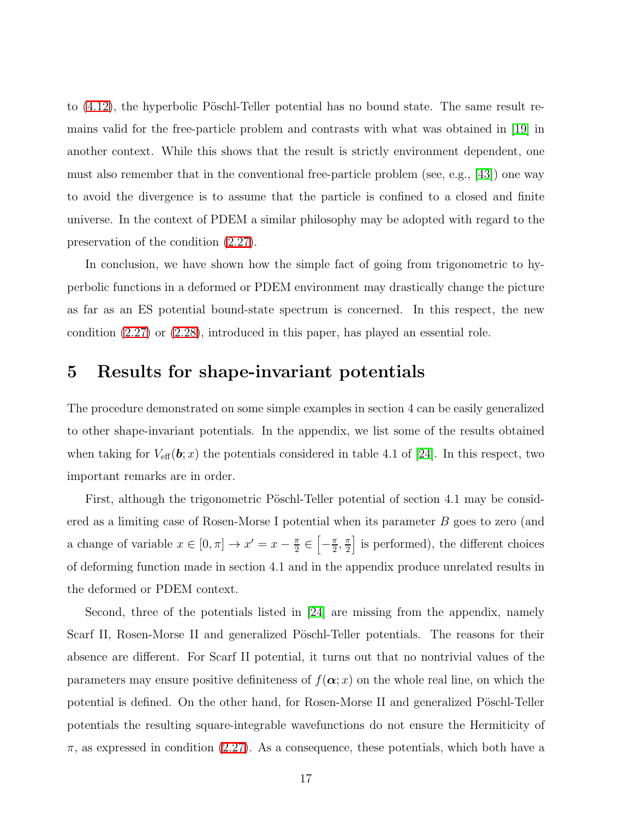to  $(4.12)$ , the hyperbolic Pöschl-Teller potential has no bound state. The same result remains valid for the free-particle problem and contrasts with what was obtained in [\[19\]](#page-24-3) in another context. While this shows that the result is strictly environment dependent, one must also remember that in the conventional free-particle problem (see, e.g., [\[43\]](#page-25-15)) one way to avoid the divergence is to assume that the particle is confined to a closed and finite universe. In the context of PDEM a similar philosophy may be adopted with regard to the preservation of the condition [\(2.27\)](#page-7-2).

In conclusion, we have shown how the simple fact of going from trigonometric to hyperbolic functions in a deformed or PDEM environment may drastically change the picture as far as an ES potential bound-state spectrum is concerned. In this respect, the new condition [\(2.27\)](#page-7-2) or [\(2.28\)](#page-7-3), introduced in this paper, has played an essential role.

### 5 Results for shape-invariant potentials

The procedure demonstrated on some simple examples in section 4 can be easily generalized to other shape-invariant potentials. In the appendix, we list some of the results obtained when taking for  $V_{\text{eff}}(\boldsymbol{b};x)$  the potentials considered in table 4.1 of [\[24\]](#page-24-8). In this respect, two important remarks are in order.

First, although the trigonometric Pöschl-Teller potential of section 4.1 may be considered as a limiting case of Rosen-Morse I potential when its parameter B goes to zero (and a change of variable  $x \in [0, \pi] \rightarrow x' = x - \frac{\pi}{2}$  $\frac{\pi}{2} \in \left[-\frac{\pi}{2}\right]$  $\frac{\pi}{2}, \frac{\pi}{2}$  $\frac{\pi}{2}$  is performed), the different choices of deforming function made in section 4.1 and in the appendix produce unrelated results in the deformed or PDEM context.

Second, three of the potentials listed in [\[24\]](#page-24-8) are missing from the appendix, namely Scarf II, Rosen-Morse II and generalized Pöschl-Teller potentials. The reasons for their absence are different. For Scarf II potential, it turns out that no nontrivial values of the parameters may ensure positive definiteness of  $f(\alpha; x)$  on the whole real line, on which the potential is defined. On the other hand, for Rosen-Morse II and generalized Pöschl-Teller potentials the resulting square-integrable wavefunctions do not ensure the Hermiticity of  $\pi$ , as expressed in condition [\(2.27\)](#page-7-2). As a consequence, these potentials, which both have a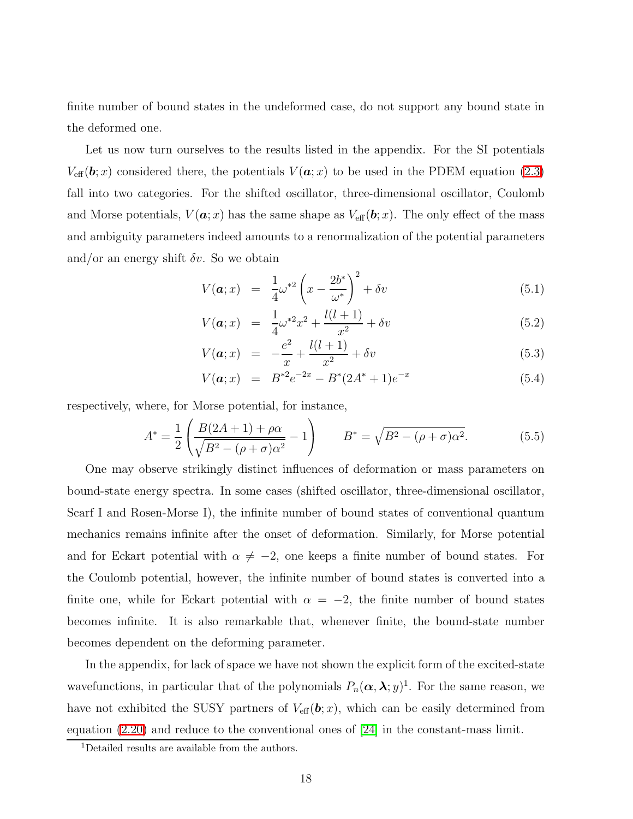finite number of bound states in the undeformed case, do not support any bound state in the deformed one.

Let us now turn ourselves to the results listed in the appendix. For the SI potentials  $V_{\text{eff}}(\boldsymbol{b};x)$  considered there, the potentials  $V(\boldsymbol{a};x)$  to be used in the PDEM equation [\(2.3\)](#page-3-1) fall into two categories. For the shifted oscillator, three-dimensional oscillator, Coulomb and Morse potentials,  $V(\boldsymbol{a};x)$  has the same shape as  $V_{\text{eff}}(\boldsymbol{b};x)$ . The only effect of the mass and ambiguity parameters indeed amounts to a renormalization of the potential parameters and/or an energy shift  $\delta v$ . So we obtain

$$
V(\boldsymbol{a};x) = \frac{1}{4}\omega^{*2}\left(x - \frac{2b^*}{\omega^*}\right)^2 + \delta v \tag{5.1}
$$

$$
V(\mathbf{a};x) = \frac{1}{4}\omega^{*2}x^2 + \frac{l(l+1)}{x^2} + \delta v \tag{5.2}
$$

$$
V(\mathbf{a};x) = -\frac{e^2}{x} + \frac{l(l+1)}{x^2} + \delta v \tag{5.3}
$$

$$
V(\mathbf{a};x) = B^{*2}e^{-2x} - B^{*}(2A^{*}+1)e^{-x}
$$
\n(5.4)

respectively, where, for Morse potential, for instance,

$$
A^* = \frac{1}{2} \left( \frac{B(2A+1) + \rho \alpha}{\sqrt{B^2 - (\rho + \sigma)\alpha^2}} - 1 \right) \qquad B^* = \sqrt{B^2 - (\rho + \sigma)\alpha^2}.
$$
 (5.5)

One may observe strikingly distinct influences of deformation or mass parameters on bound-state energy spectra. In some cases (shifted oscillator, three-dimensional oscillator, Scarf I and Rosen-Morse I), the infinite number of bound states of conventional quantum mechanics remains infinite after the onset of deformation. Similarly, for Morse potential and for Eckart potential with  $\alpha \neq -2$ , one keeps a finite number of bound states. For the Coulomb potential, however, the infinite number of bound states is converted into a finite one, while for Eckart potential with  $\alpha = -2$ , the finite number of bound states becomes infinite. It is also remarkable that, whenever finite, the bound-state number becomes dependent on the deforming parameter.

In the appendix, for lack of space we have not shown the explicit form of the excited-state wavefunctions, in particular that of the polynomials  $P_n(\alpha, \lambda; y)$ <sup>1</sup>. For the same reason, we have not exhibited the SUSY partners of  $V_{\text{eff}}(\boldsymbol{b};x)$ , which can be easily determined from equation [\(2.20\)](#page-6-4) and reduce to the conventional ones of [\[24\]](#page-24-8) in the constant-mass limit.

<sup>&</sup>lt;sup>1</sup>Detailed results are available from the authors.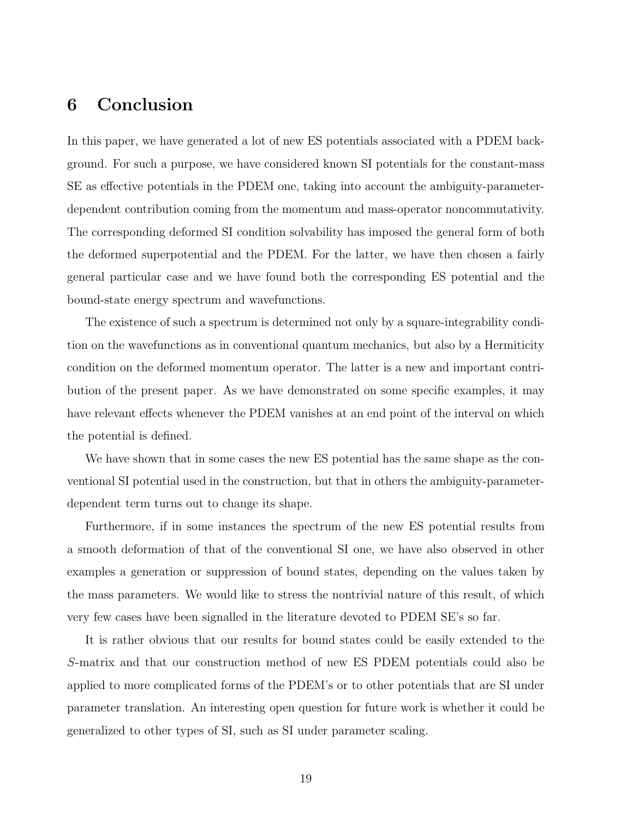## 6 Conclusion

In this paper, we have generated a lot of new ES potentials associated with a PDEM background. For such a purpose, we have considered known SI potentials for the constant-mass SE as effective potentials in the PDEM one, taking into account the ambiguity-parameterdependent contribution coming from the momentum and mass-operator noncommutativity. The corresponding deformed SI condition solvability has imposed the general form of both the deformed superpotential and the PDEM. For the latter, we have then chosen a fairly general particular case and we have found both the corresponding ES potential and the bound-state energy spectrum and wavefunctions.

The existence of such a spectrum is determined not only by a square-integrability condition on the wavefunctions as in conventional quantum mechanics, but also by a Hermiticity condition on the deformed momentum operator. The latter is a new and important contribution of the present paper. As we have demonstrated on some specific examples, it may have relevant effects whenever the PDEM vanishes at an end point of the interval on which the potential is defined.

We have shown that in some cases the new ES potential has the same shape as the conventional SI potential used in the construction, but that in others the ambiguity-parameterdependent term turns out to change its shape.

Furthermore, if in some instances the spectrum of the new ES potential results from a smooth deformation of that of the conventional SI one, we have also observed in other examples a generation or suppression of bound states, depending on the values taken by the mass parameters. We would like to stress the nontrivial nature of this result, of which very few cases have been signalled in the literature devoted to PDEM SE's so far.

It is rather obvious that our results for bound states could be easily extended to the S-matrix and that our construction method of new ES PDEM potentials could also be applied to more complicated forms of the PDEM's or to other potentials that are SI under parameter translation. An interesting open question for future work is whether it could be generalized to other types of SI, such as SI under parameter scaling.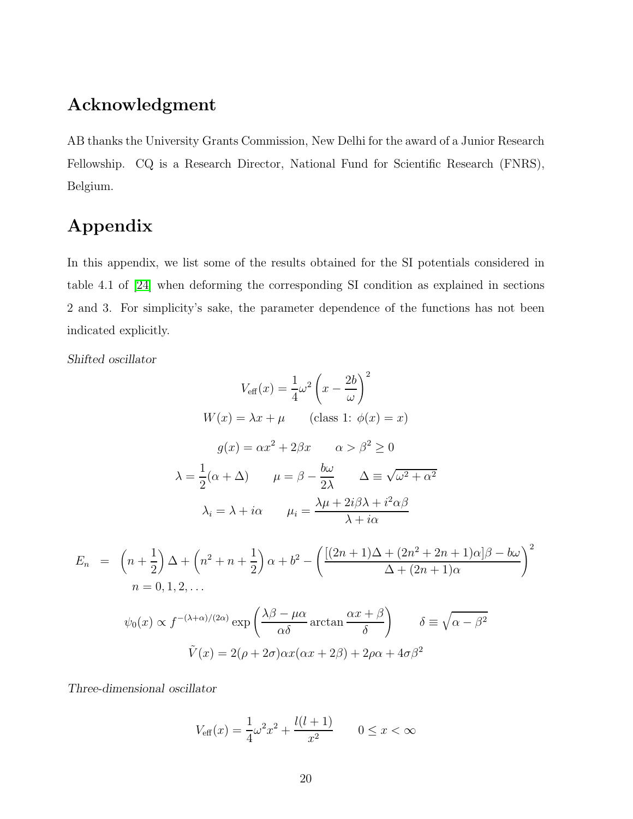## Acknowledgment

AB thanks the University Grants Commission, New Delhi for the award of a Junior Research Fellowship. CQ is a Research Director, National Fund for Scientific Research (FNRS), Belgium.

# Appendix

In this appendix, we list some of the results obtained for the SI potentials considered in table 4.1 of [\[24\]](#page-24-8) when deforming the corresponding SI condition as explained in sections 2 and 3. For simplicity's sake, the parameter dependence of the functions has not been indicated explicitly.

*Shifted oscillator*

$$
V_{\text{eff}}(x) = \frac{1}{4}\omega^2 \left(x - \frac{2b}{\omega}\right)^2
$$
  
\n
$$
W(x) = \lambda x + \mu \qquad \text{(class 1: } \phi(x) = x)
$$
  
\n
$$
g(x) = \alpha x^2 + 2\beta x \qquad \alpha > \beta^2 \ge 0
$$
  
\n
$$
\lambda = \frac{1}{2}(\alpha + \Delta) \qquad \mu = \beta - \frac{b\omega}{2\lambda} \qquad \Delta \equiv \sqrt{\omega^2 + \alpha^2}
$$
  
\n
$$
\lambda_i = \lambda + i\alpha \qquad \mu_i = \frac{\lambda\mu + 2i\beta\lambda + i^2\alpha\beta}{\lambda + i\alpha}
$$
  
\n
$$
E_n = \left(n + \frac{1}{2}\right)\Delta + \left(n^2 + n + \frac{1}{2}\right)\alpha + b^2 - \left(\frac{[(2n+1)\Delta + (2n^2 + 2n + 1)\alpha]\beta - b\omega}{\Delta + (2n + 1)\alpha}\right)^2
$$
  
\n
$$
n = 0, 1, 2, ...
$$
  
\n
$$
\psi_0(x) \propto f^{-(\lambda + \alpha)/(2\alpha)} \exp\left(\frac{\lambda\beta - \mu\alpha}{\alpha\delta} \arctan\frac{\alpha x + \beta}{\delta}\right) \qquad \delta \equiv \sqrt{\alpha - \beta^2}
$$
  
\n
$$
\tilde{V}(x) = 2(\rho + 2\sigma)\alpha x(\alpha x + 2\beta) + 2\rho\alpha + 4\sigma\beta^2
$$

*Three-dimensional oscillator*

$$
V_{\text{eff}}(x) = \frac{1}{4}\omega^2 x^2 + \frac{l(l+1)}{x^2} \qquad 0 \le x < \infty
$$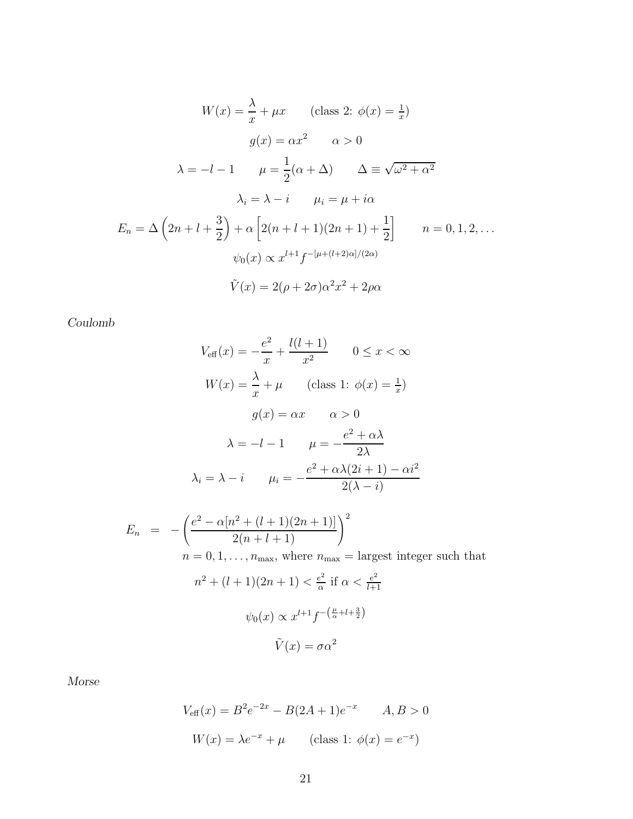$$
W(x) = \frac{\lambda}{x} + \mu x \qquad \text{(class 2: } \phi(x) = \frac{1}{x})
$$

$$
g(x) = \alpha x^2 \qquad \alpha > 0
$$

$$
\lambda = -l - 1 \qquad \mu = \frac{1}{2}(\alpha + \Delta) \qquad \Delta \equiv \sqrt{\omega^2 + \alpha^2}
$$

$$
\lambda_i = \lambda - i \qquad \mu_i = \mu + i\alpha
$$

$$
E_n = \Delta \left(2n + l + \frac{3}{2}\right) + \alpha \left[2(n + l + 1)(2n + 1) + \frac{1}{2}\right] \qquad n = 0, 1, 2, \dots
$$

$$
\psi_0(x) \propto x^{l+1} f^{-\left[\mu + (l+2)\alpha\right]/(2\alpha)}
$$

$$
\tilde{V}(x) = 2(\rho + 2\sigma)\alpha^2 x^2 + 2\rho\alpha
$$

*Coulomb*

$$
V_{\text{eff}}(x) = -\frac{e^2}{x} + \frac{l(l+1)}{x^2} \qquad 0 \le x < \infty
$$
  
\n
$$
W(x) = \frac{\lambda}{x} + \mu \qquad \text{(class 1: } \phi(x) = \frac{1}{x})
$$
  
\n
$$
g(x) = \alpha x \qquad \alpha > 0
$$
  
\n
$$
\lambda = -l - 1 \qquad \mu = -\frac{e^2 + \alpha \lambda}{2\lambda}
$$
  
\n
$$
\lambda_i = \lambda - i \qquad \mu_i = -\frac{e^2 + \alpha \lambda (2i + 1) - \alpha i^2}{2(\lambda - i)}
$$
  
\n
$$
E_n = -\left(\frac{e^2 - \alpha [n^2 + (l+1)(2n+1)]}{2(n+l+1)}\right)^2
$$
  
\n
$$
n = 0, 1, \dots, n_{\text{max}}, \text{ where } n_{\text{max}} = \text{largest integer such that}
$$
  
\n
$$
n^2 + (l+1)(2n+1) < \frac{e^2}{\alpha} \text{ if } \alpha < \frac{e^2}{l+1}
$$
  
\n
$$
\psi_0(x) \propto x^{l+1} f^{-\left(\frac{\mu}{\alpha} + l + \frac{3}{2}\right)}
$$
  
\n
$$
\tilde{V}(x) = \sigma \alpha^2
$$

*Morse*

$$
V_{\text{eff}}(x) = B^2 e^{-2x} - B(2A + 1)e^{-x} \qquad A, B > 0
$$

$$
W(x) = \lambda e^{-x} + \mu \qquad \text{(class 1: } \phi(x) = e^{-x})
$$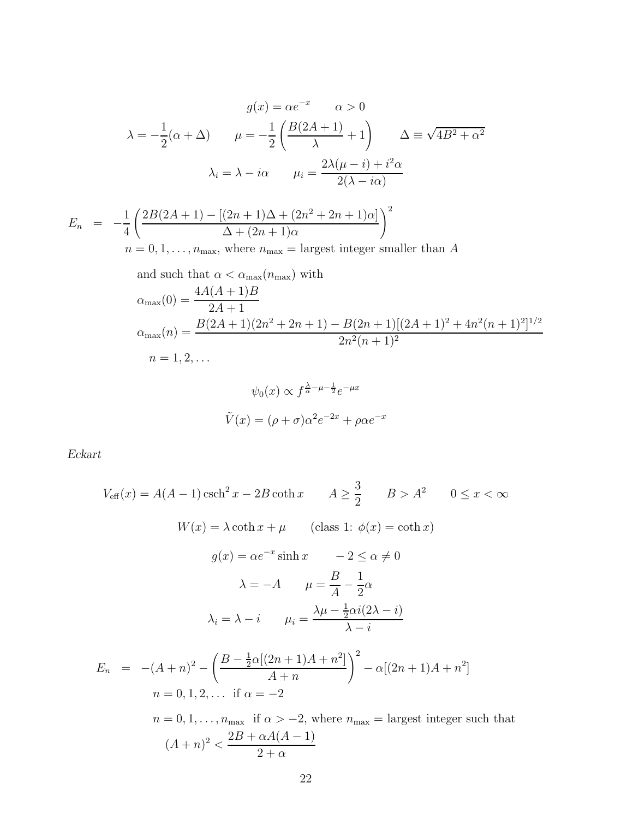$$
g(x) = \alpha e^{-x} \qquad \alpha > 0
$$
  
\n
$$
\lambda = -\frac{1}{2}(\alpha + \Delta) \qquad \mu = -\frac{1}{2}\left(\frac{B(2A+1)}{\lambda} + 1\right) \qquad \Delta \equiv \sqrt{4B^2 + \alpha^2}
$$
  
\n
$$
\lambda_i = \lambda - i\alpha \qquad \mu_i = \frac{2\lambda(\mu - i) + i^2\alpha}{2(\lambda - i\alpha)}
$$
  
\n
$$
E_n = -\frac{1}{4}\left(\frac{2B(2A+1) - [(2n+1)\Delta + (2n^2 + 2n + 1)\alpha]}{\Delta + (2n+1)\alpha}\right)^2
$$
  
\n
$$
n = 0, 1, ..., n_{\text{max}}, \text{ where } n_{\text{max}} = \text{largest integer smaller than } A
$$
  
\nand such that  $\alpha < \alpha_{\text{max}}(n_{\text{max}})$  with  
\n
$$
\alpha_{\text{max}}(0) = \frac{4A(A+1)B}{2A+1}
$$
  
\n
$$
\alpha_{\text{max}}(n) = \frac{B(2A+1)(2n^2 + 2n + 1) - B(2n+1)[(2A+1)^2 + 4n^2(n+1)^2]^{1/2}}{2n^2(n+1)^2}
$$
  
\n
$$
n = 1, 2, ...
$$
  
\n
$$
\psi_0(x) \propto f^{\frac{\lambda}{\alpha} - \mu - \frac{1}{2}} e^{-\mu x}
$$

 $\tilde{V}(x) = (\rho + \sigma)\alpha^2 e^{-2x} + \rho \alpha e^{-x}$ 

*Eckart*

$$
V_{\text{eff}}(x) = A(A - 1) \operatorname{csch}^{2} x - 2B \operatorname{coth} x \qquad A \geq \frac{3}{2} \qquad B > A^{2} \qquad 0 \leq x < \infty
$$
  

$$
W(x) = \lambda \operatorname{coth} x + \mu \qquad \text{(class 1: } \phi(x) = \operatorname{coth} x)
$$

$$
g(x) = \alpha e^{-x} \sinh x \qquad -2 \leq \alpha \neq 0
$$

$$
\lambda = -A \qquad \mu = \frac{B}{A} - \frac{1}{2}\alpha
$$

$$
\lambda_{i} = \lambda - i \qquad \mu_{i} = \frac{\lambda \mu - \frac{1}{2}\alpha i(2\lambda - i)}{\lambda - i}
$$

$$
E_{n} = -(A + n)^{2} - \left(\frac{B - \frac{1}{2}\alpha [(2n + 1)A + n^{2}]}{A + n}\right)^{2} - \alpha [(2n + 1)A + n^{2}]
$$

$$
n = 0, 1, 2, \dots \text{ if } \alpha = -2
$$

$$
n = 0, 1, \dots, n_{\text{max}} \text{ if } \alpha > -2, \text{ where } n_{\text{max}} = \text{largest integer such that}
$$

$$
(A + n)^{2} < \frac{2B + \alpha A(A - 1)}{2 + \alpha}
$$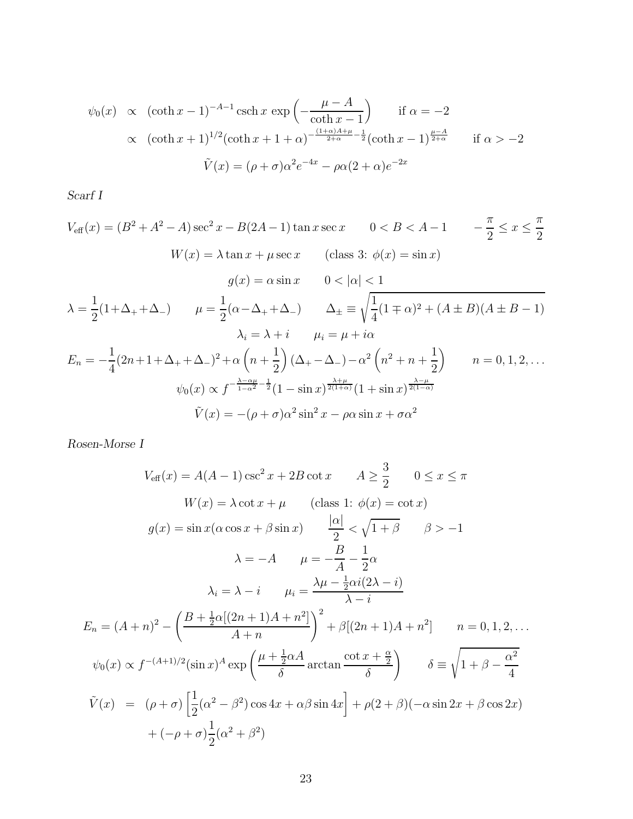$$
\psi_0(x) \propto (\coth x - 1)^{-A-1} \operatorname{csch} x \exp\left(-\frac{\mu - A}{\coth x - 1}\right)
$$
 if  $\alpha = -2$   
\n $\propto (\coth x + 1)^{1/2} (\coth x + 1 + \alpha)^{-\frac{(1+\alpha)A+\mu}{2+\alpha} - \frac{1}{2}} (\coth x - 1)^{\frac{\mu - A}{2+\alpha}}$  if  $\alpha > -2$   
\n $\tilde{V}(x) = (\rho + \sigma)\alpha^2 e^{-4x} - \rho \alpha (2 + \alpha) e^{-2x}$ 

*Scarf I*

$$
V_{\text{eff}}(x) = (B^2 + A^2 - A) \sec^2 x - B(2A - 1) \tan x \sec x \qquad 0 < B < A - 1 \qquad -\frac{\pi}{2} \le x \le \frac{\pi}{2}
$$
\n
$$
W(x) = \lambda \tan x + \mu \sec x \qquad \text{(class 3: } \phi(x) = \sin x)
$$
\n
$$
g(x) = \alpha \sin x \qquad 0 < |\alpha| < 1
$$
\n
$$
\lambda = \frac{1}{2}(1 + \Delta_+ + \Delta_-) \qquad \mu = \frac{1}{2}(\alpha - \Delta_+ + \Delta_-) \qquad \Delta_\pm \equiv \sqrt{\frac{1}{4}(1 \mp \alpha)^2 + (A \pm B)(A \pm B - 1)}
$$
\n
$$
\lambda_i = \lambda + i \qquad \mu_i = \mu + i\alpha
$$
\n
$$
E_n = -\frac{1}{4}(2n + 1 + \Delta_+ + \Delta_-)^2 + \alpha \left(n + \frac{1}{2}\right)(\Delta_+ - \Delta_-) - \alpha^2 \left(n^2 + n + \frac{1}{2}\right) \qquad n = 0, 1, 2, \dots
$$
\n
$$
\psi_0(x) \propto f^{-\frac{\lambda - \alpha \mu}{1 - \alpha^2} - \frac{1}{2}(1 - \sin x)^{\frac{\lambda + \mu}{2(1 + \alpha)}}(1 + \sin x)^{\frac{\lambda - \mu}{2(1 - \alpha)}}
$$
\n
$$
\tilde{V}(x) = -(\rho + \sigma)\alpha^2 \sin^2 x - \rho \alpha \sin x + \sigma \alpha^2
$$

*Rosen-Morse I*

$$
V_{\text{eff}}(x) = A(A - 1) \csc^2 x + 2B \cot x \qquad A \ge \frac{3}{2} \qquad 0 \le x \le \pi
$$
  
\n
$$
W(x) = \lambda \cot x + \mu \qquad \text{(class 1: } \phi(x) = \cot x)
$$
  
\n
$$
g(x) = \sin x (\alpha \cos x + \beta \sin x) \qquad \frac{|\alpha|}{2} < \sqrt{1 + \beta} \qquad \beta > -1
$$
  
\n
$$
\lambda = -A \qquad \mu = -\frac{B}{A} - \frac{1}{2}\alpha
$$
  
\n
$$
\lambda_i = \lambda - i \qquad \mu_i = \frac{\lambda \mu - \frac{1}{2}\alpha i (2\lambda - i)}{\lambda - i}
$$
  
\n
$$
E_n = (A + n)^2 - \left(\frac{B + \frac{1}{2}\alpha [(2n + 1)A + n^2]}{A + n}\right)^2 + \beta [(2n + 1)A + n^2] \qquad n = 0, 1, 2, ...
$$
  
\n
$$
\psi_0(x) \propto f^{-(A+1)/2}(\sin x)^A \exp\left(\frac{\mu + \frac{1}{2}\alpha A}{\delta} \arctan \frac{\cot x + \frac{\alpha}{2}}{\delta}\right) \qquad \delta \equiv \sqrt{1 + \beta - \frac{\alpha^2}{4}}
$$
  
\n
$$
\tilde{V}(x) = (\rho + \sigma) \left[\frac{1}{2}(\alpha^2 - \beta^2) \cos 4x + \alpha \beta \sin 4x\right] + \rho(2 + \beta)(-\alpha \sin 2x + \beta \cos 2x) + (-\rho + \sigma) \frac{1}{2}(\alpha^2 + \beta^2)
$$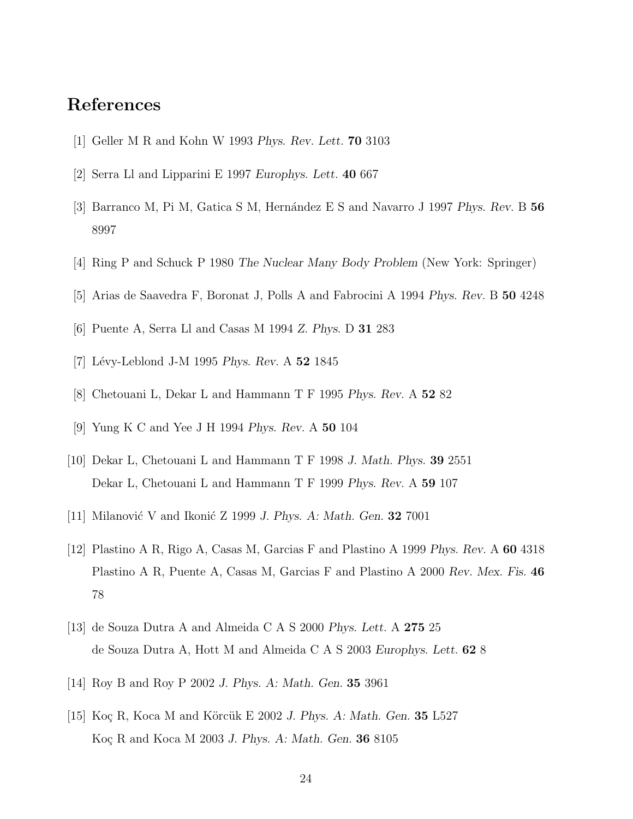## <span id="page-23-0"></span>References

- <span id="page-23-1"></span>[1] Geller M R and Kohn W 1993 *Phys. Rev. Lett.* 70 3103
- <span id="page-23-2"></span>[2] Serra Ll and Lipparini E 1997 *Europhys. Lett.* 40 667
- <span id="page-23-3"></span>[3] Barranco M, Pi M, Gatica S M, Hern´andez E S and Navarro J 1997 *Phys. Rev.* B 56 8997
- <span id="page-23-4"></span>[4] Ring P and Schuck P 1980 *The Nuclear Many Body Problem* (New York: Springer)
- <span id="page-23-5"></span>[5] Arias de Saavedra F, Boronat J, Polls A and Fabrocini A 1994 *Phys. Rev.* B 50 4248
- <span id="page-23-6"></span>[6] Puente A, Serra Ll and Casas M 1994 *Z. Phys.* D 31 283
- <span id="page-23-7"></span>[7] L´evy-Leblond J-M 1995 *Phys. Rev.* A 52 1845
- <span id="page-23-8"></span>[8] Chetouani L, Dekar L and Hammann T F 1995 *Phys. Rev.* A 52 82
- <span id="page-23-9"></span>[9] Yung K C and Yee J H 1994 *Phys. Rev.* A 50 104
- <span id="page-23-10"></span>[10] Dekar L, Chetouani L and Hammann T F 1998 *J. Math. Phys.* 39 2551 Dekar L, Chetouani L and Hammann T F 1999 *Phys. Rev.* A 59 107
- <span id="page-23-11"></span>[11] Milanović V and Ikonić Z 1999 *J. Phys. A: Math. Gen.* **32** 7001
- [12] Plastino A R, Rigo A, Casas M, Garcias F and Plastino A 1999 *Phys. Rev.* A 60 4318 Plastino A R, Puente A, Casas M, Garcias F and Plastino A 2000 *Rev. Mex. Fis.* 46 78
- <span id="page-23-13"></span><span id="page-23-12"></span>[13] de Souza Dutra A and Almeida C A S 2000 *Phys. Lett.* A 275 25 de Souza Dutra A, Hott M and Almeida C A S 2003 *Europhys. Lett.* 62 8
- <span id="page-23-14"></span>[14] Roy B and Roy P 2002 *J. Phys. A: Math. Gen.* 35 3961
- [15] Koç R, Koca M and Körcük E 2002 *J. Phys. A: Math. Gen.* **35** L527 Koç R and Koca M 2003 *J. Phys. A: Math. Gen.* **36** 8105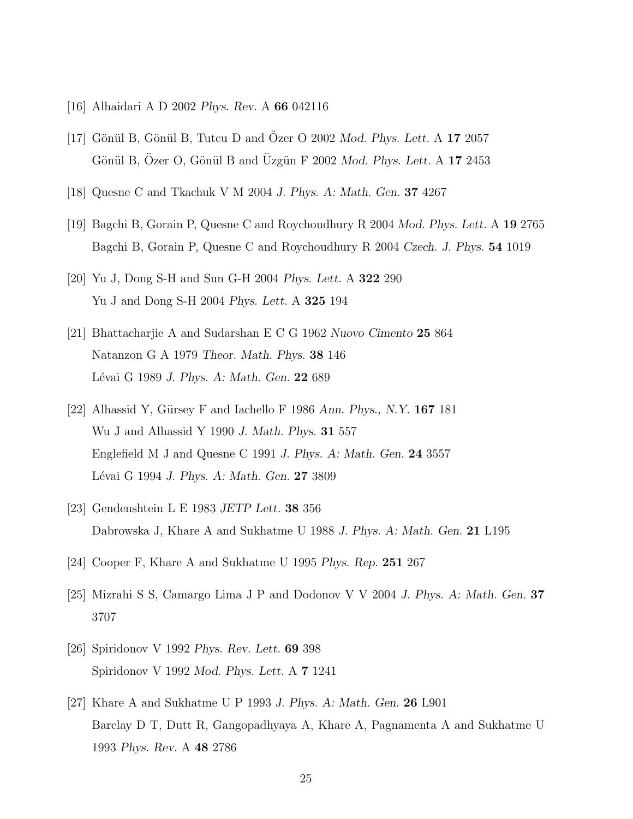- <span id="page-24-1"></span><span id="page-24-0"></span>[16] Alhaidari A D 2002 *Phys. Rev.* A 66 042116
- <span id="page-24-2"></span>[17] Gönül B, Gönül B, Tutcu D and Özer O 2002 Mod. Phys. Lett. A 17 2057 Gönül B, Özer O, Gönül B and Üzgün F 2002 Mod. Phys. Lett. A 17 2453
- <span id="page-24-3"></span>[18] Quesne C and Tkachuk V M 2004 *J. Phys. A: Math. Gen.* 37 4267
- <span id="page-24-4"></span>[19] Bagchi B, Gorain P, Quesne C and Roychoudhury R 2004 *Mod. Phys. Lett.* A 19 2765 Bagchi B, Gorain P, Quesne C and Roychoudhury R 2004 *Czech. J. Phys.* 54 1019
- <span id="page-24-5"></span>[20] Yu J, Dong S-H and Sun G-H 2004 *Phys. Lett.* A 322 290 Yu J and Dong S-H 2004 *Phys. Lett.* A 325 194
- [21] Bhattacharjie A and Sudarshan E C G 1962 *Nuovo Cimento* 25 864 Natanzon G A 1979 *Theor. Math. Phys.* 38 146 L´evai G 1989 *J. Phys. A: Math. Gen.* 22 689
- <span id="page-24-6"></span>[22] Alhassid Y, Gürsey F and Iachello F 1986 *Ann. Phys., N.Y.* **167** 181 Wu J and Alhassid Y 1990 *J. Math. Phys.* 31 557 Englefield M J and Quesne C 1991 *J. Phys. A: Math. Gen.* 24 3557 L´evai G 1994 *J. Phys. A: Math. Gen.* 27 3809
- <span id="page-24-8"></span><span id="page-24-7"></span>[23] Gendenshtein L E 1983 *JETP Lett.* 38 356 Dabrowska J, Khare A and Sukhatme U 1988 *J. Phys. A: Math. Gen.* 21 L195
- <span id="page-24-9"></span>[24] Cooper F, Khare A and Sukhatme U 1995 *Phys. Rep.* 251 267
- <span id="page-24-10"></span>[25] Mizrahi S S, Camargo Lima J P and Dodonov V V 2004 *J. Phys. A: Math. Gen.* 37 3707
- <span id="page-24-11"></span>[26] Spiridonov V 1992 *Phys. Rev. Lett.* 69 398 Spiridonov V 1992 *Mod. Phys. Lett.* A 7 1241
- [27] Khare A and Sukhatme U P 1993 *J. Phys. A: Math. Gen.* 26 L901 Barclay D T, Dutt R, Gangopadhyaya A, Khare A, Pagnamenta A and Sukhatme U 1993 *Phys. Rev.* A 48 2786